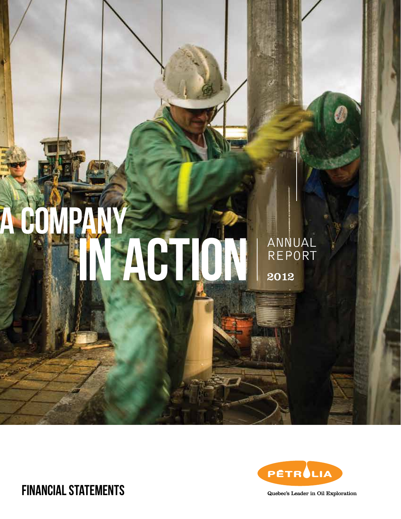



FINANCIAL STATEMENTS Quebec's Leader in Oil Exploration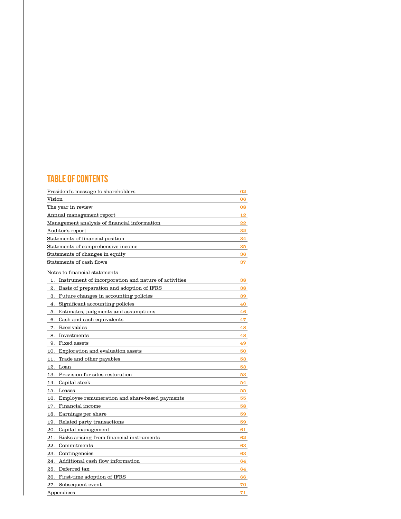### Table of contents

| President's message to shareholders                     | 02 |
|---------------------------------------------------------|----|
| Vision                                                  | 06 |
| The year in review                                      | 08 |
| Annual management report                                | 12 |
| Management analysis of financial information            | 22 |
| Auditor's report                                        | 32 |
| Statements of financial position                        | 34 |
| Statements of comprehensive income                      | 35 |
| Statements of changes in equity                         | 36 |
| Statements of cash flows                                | 37 |
| Notes to financial statements                           |    |
| 1. Instrument of incorporation and nature of activities | 38 |
| 2. Basis of preparation and adoption of IFRS            | 38 |
| 3. Future changes in accounting policies                | 39 |
| Significant accounting policies<br>4.                   | 40 |
| Estimates, judgments and assumptions<br>5.              | 46 |
| 6. Cash and cash equivalents                            | 47 |
| 7. Receivables                                          | 48 |
| 8. Investments                                          | 48 |
| 9. Fixed assets                                         | 49 |
| 10. Exploration and evaluation assets                   | 50 |
| 11. Trade and other payables                            | 53 |
| 12. Loan                                                | 53 |
| 13. Provision for sites restoration                     | 53 |
| 14. Capital stock                                       | 54 |
| 15. Leases                                              | 55 |
| 16. Employee remuneration and share-based payments      | 55 |
| 17. Financial income                                    | 58 |
| 18. Earnings per share                                  | 59 |
| 19. Related party transactions                          | 59 |
| 20. Capital management                                  | 61 |
| 21. Risks arising from financial instruments            | 62 |
| 22. Commitments                                         | 63 |
| 23. Contingencies                                       | 63 |
| 24. Additional cash flow information                    | 64 |
| 25. Deferred tax                                        | 64 |
| 26. First-time adoption of IFRS                         | 66 |
| 27. Subsequent event                                    | 70 |
| Appendices                                              | 71 |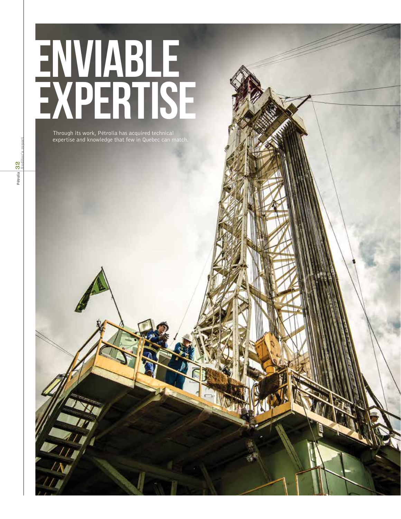# ENVIABLE expertise

Through its work, Pétrolia has acquired technical expertise and knowledge that few in Quebec can match.

32 Pétrolia 32 Pétrolia

**Auditor's report**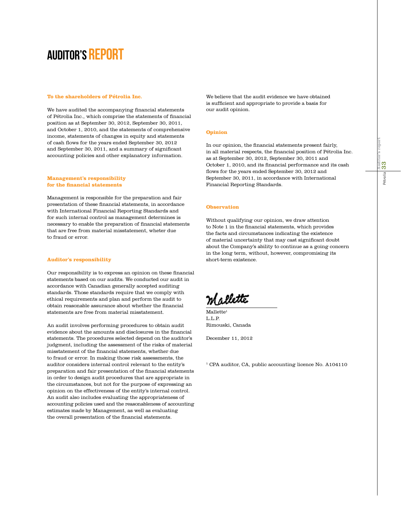### auditor's REPORT

### **To the shareholders of Pétrolia Inc.**

We have audited the accompanying financial statements of Pétrolia Inc., which comprise the statements of financial position as at September 30, 2012, September 30, 2011, and October 1, 2010, and the statements of comprehensive income, statements of changes in equity and statements of cash flows for the years ended September 30, 2012 and September 30, 2011, and a summary of significant accounting policies and other explanatory information.

### **Management's responsibility for the financial statements**

Management is responsible for the preparation and fair presentation of these financial statements, in accordance with International Financial Reporting Standards and for such internal control as management determines is necessary to enable the preparation of financial statements that are free from material misstatement, wheter due to fraud or error.

### **Auditor's responsibility**

Our responsibility is to express an opinion on these financial statements based on our audits. We conducted our audit in accordance with Canadian generally accepted auditing standards. Those standards require that we comply with ethical requirements and plan and perform the audit to obtain reasonable assurance about whether the financial statements are free from material misstatement.

An audit involves performing procedures to obtain audit evidence about the amounts and disclosures in the financial statements. The procedures selected depend on the auditor's judgment, including the assessment of the risks of material misstatement of the financial statements, whether due to fraud or error. In making those risk assessments, the auditor considers internal control relevant to the entity's preparation and fair presentation of the financial statements in order to design audit procedures that are appropriate in the circumstances, but not for the purpose of expressing an opinion on the effectiveness of the entity's internal control. An audit also includes evaluating the appropriateness of accounting policies used and the reasonableness of accounting estimates made by Management, as well as evaluating the overall presentation of the financial statements.

We believe that the audit evidence we have obtained is sufficient and appropriate to provide a basis for our audit opinion.

### **Opinion**

In our opinion, the financial statements present fairly, in all material respects, the financial position of Pétrolia Inc. as at September 30, 2012, September 30, 2011 and October 1, 2010, and its financial performance and its cash flows for the years ended September 30, 2012 and September 30, 2011, in accordance with International Financial Reporting Standards.

#### **Observation**

Without qualifying our opinion, we draw attention to Note 1 in the financial statements, which provides the facts and circumstances indicating the existence of material uncertainty that may cast significant doubt about the Company's ability to continue as a going concern in the long term, without, however, compromising its short-term existence.

Mallette

Mallette1 L.L.P. Rimouski, Canada

December 11, 2012

<sup>1</sup> CPA auditor, CA, public accounting licence No. A104110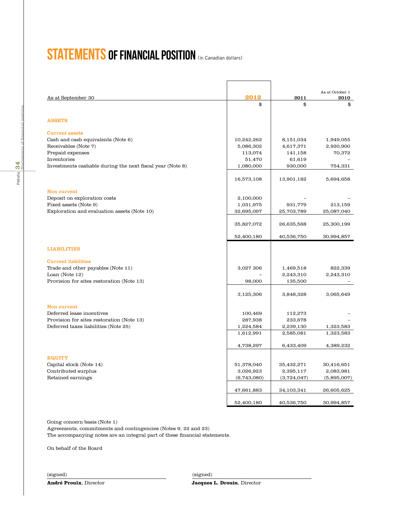### STATEMENTS OF FINANCIAL POSITION (in Canadian dollars)

| As at September 30                                        | 2012        | 2011        | As at October 1<br>2010 |
|-----------------------------------------------------------|-------------|-------------|-------------------------|
|                                                           | \$          | \$          | \$                      |
|                                                           |             |             |                         |
| <b>ASSETS</b>                                             |             |             |                         |
| <b>Current assets</b>                                     |             |             |                         |
| Cash and cash equivalents (Note 6)                        | 10,242,262  | 8,151,034   | 1,949,055               |
| Receivables (Note 7)                                      | 5,086,302   | 4,617,371   | 2,920,900               |
| Prepaid expenses                                          | 113,074     | 141,158     | 70,372                  |
| Inventories                                               | 51,470      | 61,619      |                         |
| Investments cashable during the next fiscal year (Note 8) | 1,080,000   | 930,000     | 754,331                 |
|                                                           | 16,573,108  | 13,901,182  | 5,694,658               |
| Non current                                               |             |             |                         |
| Deposit on exploration costs                              | 2,100,000   |             |                         |
| Fixed assets (Note 9)                                     | 1,031,975   | 931,779     | 213,159                 |
| Exploration and evaluation assets (Note 10)               | 32,695,097  | 25,703,789  | 25,087,040              |
|                                                           | 35,827,072  | 26,635,568  | 25,300,199              |
|                                                           | 52,400,180  | 40,536,750  | 30,994,857              |
| <b>LIABILITIES</b>                                        |             |             |                         |
| <b>Current liabilities</b>                                |             |             |                         |
| Trade and other payables (Note 11)                        | 3,027 306   | 1,469,518   | 822,339                 |
| Loan (Note 12)                                            |             | 2,243,310   | 2,243,310               |
| Provision for sites restoration (Note 13)                 | 98,000      | 135,500     |                         |
|                                                           | 3,125,306   | 3,848,328   | 3,065,649               |
| Non current                                               |             |             |                         |
| Deferred lease incentives                                 | 100,469     | 112,273     |                         |
| Provision for sites restoration (Note 13)                 | 287,938     | 233,678     |                         |
| Deferred taxes liabilities (Note 25)                      | 1,224,584   | 2,239,130   | 1,323,583               |
|                                                           | 1,612,991   | 2,585,081   | 1,323,583               |
|                                                           | 4,738,297   | 6,433,409   | 4,389,232               |
|                                                           |             |             |                         |
| <b>EQUITY</b>                                             |             |             |                         |
| Capital stock (Note 14)                                   | 51,378,040  | 35,432,271  | 30,416,651              |
| Contributed surplus                                       | 3,026,923   | 2,395,117   | 2,083,981               |
| Retained earnings                                         | (6,743,080) | (3,724,047) | (5,895,007)             |
|                                                           | 47,661,883  | 34,103,341  | 26,605,625              |
|                                                           | 52,400,180  | 40,536,750  | 30,994,857              |

Going concern basis (Note 1) Agreements, commitments and contingencies (Notes 9, 22 and 23) The accompanying notes are an integral part of these financial statements.

On behalf of the Board

(signed) (signed)

**André Proulx**, Director **Jacques L. Drouin**, Director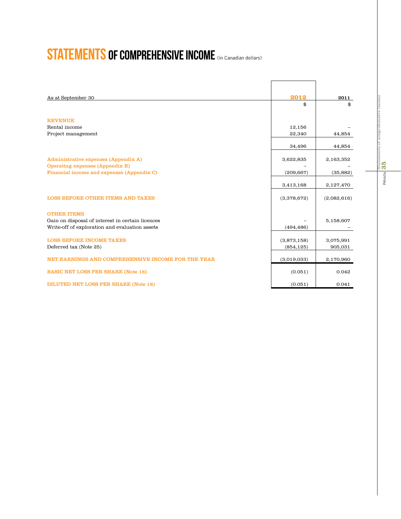### STATEMENTS OF COMPREHENSIVE INCOME (in Canadian dollars)

| As at September 30                                 | 2012        | 2011        |
|----------------------------------------------------|-------------|-------------|
|                                                    | \$          | \$          |
|                                                    |             |             |
| <b>REVENUE</b>                                     |             |             |
| Rental income                                      | 12,156      |             |
| Project management                                 | 22,340      | 44,854      |
|                                                    | 34,496      | 44,854      |
| Administrative expenses (Appendix A)               | 3,622,835   | 2,163,352   |
| <b>Operating expenses (Appendix B)</b>             |             |             |
| Financial income and expenses (Appendix C)         | (209, 667)  | (35, 882)   |
|                                                    | 3,413,168   | 2,127,470   |
| <b>LOSS BEFORE OTHER ITEMS AND TAXES</b>           | (3,378,672) | (2,082,616) |
| <b>OTHER ITEMS</b>                                 |             |             |
| Gain on disposal of interest in certain licences   |             | 5,158,607   |
| Write-off of exploration and evaluation assets     | (494, 486)  |             |
| <b>LOSS BEFORE INCOME TAXES</b>                    | (3,873,158) | 3,075,991   |
| Deferred tax (Note 25)                             | (854, 125)  | 905,031     |
| NET EARNINGS AND COMPREHENSIVE INCOME FOR THE YEAR | (3,019,033) | 2,170,960   |
| <b>BASIC NET LOSS PER SHARE (Note 18)</b>          | (0.051)     | 0.042       |
| <b>DILUTED NET LOSS PER SHARE (Note 18)</b>        | (0.051)     | 0.041       |

Pétrolia 35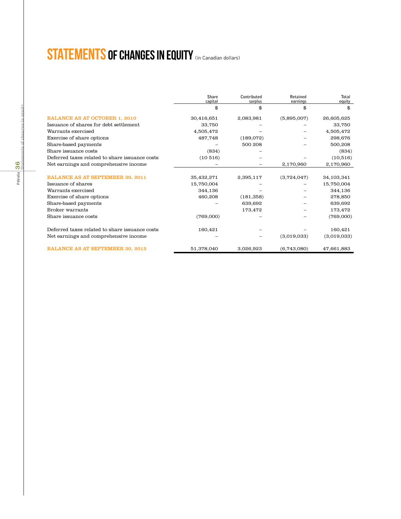### STATEMENTS OF CHANGES IN EQUITY (in Canadian dollars)

|                                                | Share<br>capital | Contributed<br>surplus | Retained<br>earnings | Total<br>equity |
|------------------------------------------------|------------------|------------------------|----------------------|-----------------|
|                                                | \$               | \$                     | \$                   | \$              |
| <b>BALANCE AS AT OCTOBER 1, 2010</b>           | 30,416,651       | 2,083,981              | (5,895,007)          | 26,605,625      |
| Issuance of shares for debt settlement         | 33,750           |                        |                      | 33,750          |
| Warrants exercised                             | 4,505,472        |                        |                      | 4,505,472       |
| Exercise of share options                      | 487,748          | (189,072)              |                      | 298,676         |
| Share-based payments                           |                  | 500 208                |                      | 500,208         |
| Share issuance costs                           | (834)            |                        |                      | (834)           |
| Deferred taxes related to share issuance costs | (10516)          |                        |                      | (10,516)        |
| Net earnings and comprehensive income          |                  |                        | 2,170,960            | 2,170,960       |
| <b>BALANCE AS AT SEPTEMBER 30, 2011</b>        | 35,432,271       | 2,395,117              | (3,724,047)          | 34,103,341      |
| Issuance of shares                             | 15,750,004       |                        |                      | 15,750,004      |
| Warrants exercised                             | 344,136          |                        |                      | 344,136         |
| Exercise of share options                      | 460,208          | (181, 358)             |                      | 278,850         |
| Share-based payments                           |                  | 639,692                |                      | 639,692         |
| Broker warrants                                |                  | 173,472                |                      | 173,472         |
| Share issuance costs                           | (769,000)        |                        |                      | (769,000)       |
| Deferred taxes related to share issuance costs | 160,421          |                        |                      | 160,421         |
| Net earnings and comprehensive income          |                  |                        | (3,019,033)          | (3,019,033)     |
| <b>BALANCE AS AT SEPTEMBER 30, 2012</b>        | 51,378,040       | 3,026,923              | (6,743,080)          | 47,661,883      |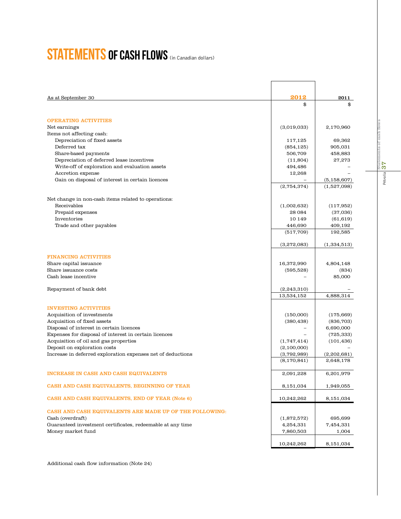### STATEMENTS OF CASH FLOWS (in Canadian dollars)

| As at September 30                                          | 2012          | 2011          |
|-------------------------------------------------------------|---------------|---------------|
|                                                             | \$            | \$            |
| <b>OPERATING ACTIVITIES</b>                                 |               |               |
| Net earnings                                                | (3,019,033)   | 2,170,960     |
| Items not affecting cash:                                   |               |               |
| Depreciation of fixed assets                                | 117,125       | 69,362        |
| Deferred tax                                                | (854, 125)    | 905,031       |
| Share-based payments                                        | 506,709       | 458,883       |
| Depreciation of deferred lease incentives                   | (11,804)      | 27,273        |
| Write-off of exploration and evaluation assets              | 494,486       |               |
| Accretion expense                                           | 12,268        |               |
| Gain on disposal of interest in certain licences            |               | (5, 158, 607) |
|                                                             | (2,754,374)   | (1,527,098)   |
| Net change in non-cash items related to operations:         |               |               |
| Receivables                                                 | (1,002,632)   | (117,952)     |
| Prepaid expenses                                            | 28 0 84       | (37,036)      |
| Inventories                                                 | 10 149        | (61, 619)     |
| Trade and other payables                                    | 446,690       | 409,192       |
|                                                             | (517,709)     | 192,585       |
|                                                             | (3,272,083)   | (1,334,513)   |
| <b>FINANCING ACTIVITIES</b>                                 |               |               |
| Share capital issuance                                      | 16,372,990    | 4,804,148     |
| Share issuance costs                                        | (595, 528)    | (834)         |
| Cash lease incentive                                        |               | 85,000        |
| Repayment of bank debt                                      | (2, 243, 310) |               |
|                                                             | 13,534,152    | 4,888,314     |
| <b>INVESTING ACTIVITIES</b>                                 |               |               |
| Acquisition of investments                                  | (150,000)     | (175, 669)    |
| Acquisition of fixed assets                                 | (380, 438)    | (836, 703)    |
| Disposal of interest in certain licences                    |               | 6,690,000     |
| Expenses for disposal of interest in certain licences       |               | (725, 333)    |
| Acquisition of oil and gas properties                       | (1,747,414)   | (101, 436)    |
| Deposit on exploration costs                                | (2,100,000)   |               |
| Increase in deferred exploration expenses net of deductions | (3,792,989)   | (2,202,681)   |
|                                                             | (8,170,841)   | 2,648,178     |
| <b>INCREASE IN CASH AND CASH EQUIVALENTS</b>                | 2,091,228     | 6,201,979     |
| CASH AND CASH EQUIVALENTS, BEGINNING OF YEAR                | 8,151,034     | 1,949,055     |
| CASH AND CASH EQUIVALENTS, END OF YEAR (Note 6)             | 10,242,262    | 8,151,034     |
| CASH AND CASH EQUIVALENTS ARE MADE UP OF THE FOLLOWING:     |               |               |
| Cash (overdraft)                                            | (1,872,572)   | 695,699       |
| Guaranteed investment certificates, redeemable at any time  | 4,254,331     | 7,454,331     |
| Money market fund                                           | 7,860,503     | 1,004         |
|                                                             | 10,242,262    | 8,151,034     |

Additional cash flow information (Note 24)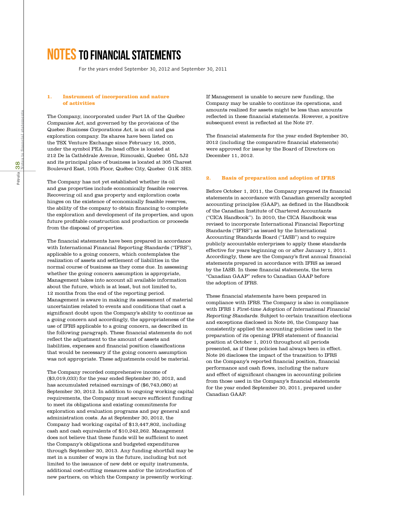For the years ended September 30, 2012 and September 30, 2011

### **1. Instrument of incorporation and nature of activities**

The Company, incorporated under Part IA of the Québec Companies Act, and governed by the provisions of the Quebec Business Corporations Act, is an oil and gas exploration company. Its shares have been listed on the TSX Venture Exchange since February 16, 2005, under the symbol PEA. Its head office is located at 212 De la Cathédrale Avenue, Rimouski, Quebec G5L 5J2 and its principal place of business is located at 305 Charest Boulevard East, 10th Floor, Québec City, Quebec G1K 3H3.

The Company has not yet established whether its oil and gas properties include economically feasible reserves. Recovering oil and gas property and exploration costs hinges on the existence of economically feasible reserves, the ability of the company to obtain financing to complete the exploration and development of its properties, and upon future profitable construction and production or proceeds from the disposal of properties.

The financial statements have been prepared in accordance with International Financial Reporting Standards ("IFRS"), applicable to a going concern, which contemplates the realization of assets and settlement of liabilities in the normal course of business as they come due. In assessing whether the going concern assumption is appropriate, Management takes into account all available information about the future, which is at least, but not limited to, 12 months from the end of the reporting period. Management is aware in making its assessment of material uncertainties related to events and conditions that cast a significant doubt upon the Company's ability to continue as a going concern and accordingly, the appropriateness of the use of IFRS applicable to a going concern, as described in the following paragraph. These financial statements do not reflect the adjustment to the amount of assets and liabilities, expenses and financial position classifications that would be necessary if the going concern assumption was not appropriate. These adjustments could be material.

The Company recorded comprehensive income of (\$3,019,033) for the year ended September 30, 2012, and has accumulated retained earnings of (\$6,743,080) at September 30, 2012. In addition to ongoing working capital requirements, the Company must secure sufficient funding to meet its obligations and existing commitments for exploration and evaluation programs and pay general and administration costs. As at September 30, 2012, the Company had working capital of \$13,447,802, including cash and cash equivalents of \$10,242,262. Management does not believe that these funds will be sufficient to meet the Company's obligations and budgeted expenditures through September 30, 2013. Any funding shortfall may be met in a number of ways in the future, including but not limited to the issuance of new debt or equity instruments, additional cost-cutting measures and/or the introduction of new partners, on which the Company is presently working.

If Management is unable to secure new funding, the Company may be unable to continue its operations, and amounts realized for assets might be less than amounts reflected in these financial statements. However, a positive subsequent event is reflected at the Note 27.

The financial statements for the year ended September 30, 2012 (including the comparative financial statements) were approved for issue by the Board of Directors on December 11, 2012.

### **2. Basis of preparation and adoption of IFRS**

Before October 1, 2011, the Company prepared its financial statements in accordance with Canadian generally accepted accounting principles (GAAP), as defined in the Handbook of the Canadian Institute of Chartered Accountants ("CICA Handbook"). In 2010, the CICA Handbook was revised to incorporate International Financial Reporting Standards ("IFRS") as issued by the International Accounting Standards Board ("IASB") and to require publicly accountable enterprises to apply these standards effective for years beginning on or after January 1, 2011. Accordingly, these are the Company's first annual financial statements prepared in accordance with IFRS as issued by the IASB. In these financial statements, the term "Canadian GAAP" refers to Canadian GAAP before the adoption of IFRS.

These financial statements have been prepared in compliance with IFRS. The Company is also in compliance with IFRS 1 First-time Adoption of International Financial Reporting Standards. Subject to certain transition elections and exceptions disclosed in Note 26, the Company has consistently applied the accounting policies used in the preparation of its opening IFRS statement of financial position at October 1, 2010 throughout all periods presented, as if these policies had always been in effect. Note 26 discloses the impact of the transition to IFRS on the Company's reported financial position, financial performance and cash flows, including the nature and effect of significant changes in accounting policies from those used in the Company's financial statements for the year ended September 30, 2011, prepared under Canadian GAAP.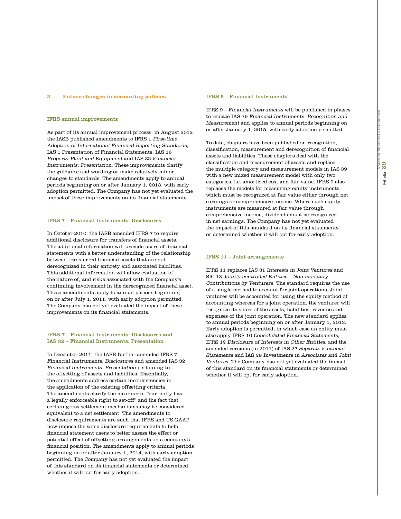## **Notes to financial statements** 39 Pétrolia 39

### **3. Future changes in accounting policies**

### IFRS annual improvements

As part of its annual improvement process, in August 2012 the IASB published amendments to IFRS 1 First-time Adoption of International Financial Reporting Standards, IAS 1 Presentation of Financial Statements, IAS 16 Property Plant and Equipment and IAS 32 Financial Instruments: Presentation. These improvements clarify the guidance and wording or make relatively minor changes to standards. The amendments apply to annual periods beginning on or after January 1, 2013, with early adoption permitted. The Company has not yet evaluated the impact of these improvements on its financial statements.

### IFRS 7 – Financial Instruments: Disclosures

In October 2010, the IASB amended IFRS 7 to require additional disclosure for transfers of financial assets. The additional information will provide users of financial statements with a better understanding of the relationship between transferred financial assets that are not derecognized in their entirety and associated liabilities. This additional information will allow evaluation of the nature of, and risks associated with the Company's continuing involvement in the derecognized financial asset. These amendments apply to annual periods beginning on or after July 1, 2011, with early adoption permitted. The Company has not yet evaluated the impact of these improvements on its financial statements.

### IFRS 7 – Financial Instruments: Disclosures and IAS 32 – Financial Instruments: Presentation

In December 2011, the IASB further amended IFRS 7 Financial Instruments: Disclosures and amended IAS 32 Financial Instruments: Presentation pertaining to the offsetting of assets and liabilities. Essentially, the amendments address certain inconsistencies in the application of the existing offsetting criteria. The amendments clarify the meaning of "currently has a legally enforceable right to set-off" and the fact that certain gross settlement mechanisms may be considered equivalent to a net settlement. The amendments to disclosure requirements are such that IFRS and US GAAP now impose the same disclosure requirements to help financial statement users to better assess the effect or potential effect of offsetting arrangements on a company's financial position. The amendments apply to annual periods beginning on or after January 1, 2014, with early adoption permitted. The Company has not yet evaluated the impact of this standard on its financial statements or determined whether it will opt for early adoption.

### IFRS 9 – Financial Instruments

IFRS 9 – Financial Instruments will be published in phases to replace IAS 39 Financial Instruments: Recognition and Measurement and applies to annual periods beginning on or after January 1, 2015, with early adoption permitted.

To date, chapters have been published on recognition, classification, measurement and derecognition of financial assets and liabilities. These chapters deal with the classification and measurement of assets and replace the multiple category and measurement models in IAS 39 with a new mixed measurement model with only two categories, i.e. amortized cost and fair value. IFRS 9 also replaces the models for measuring equity instruments, which must be recognized at fair value either through net earnings or comprehensive income. Where such equity instruments are measured at fair value through comprehensive income, dividends must be recognized in net earnings. The Company has not yet evaluated the impact of this standard on its financial statements or determined whether it will opt for early adoption.

#### IFRS 11 – Joint arrangements

IFRS 11 replaces IAS 31 Interests in Joint Ventures and SIC-13 Jointly-controlled Entities – Non-monetary Contributions by Venturers. The standard requires the use of a single method to account for joint operations. Joint ventures will be accounted for using the equity method of accounting whereas for a joint operation, the venturer will recognize its share of the assets, liabilities, revenue and expenses of the joint operation. The new standard applies to annual periods beginning on or after January 1, 2013. Early adoption is permitted, in which case an entity must also apply IFRS 10 Consolidated Financial Statements, IFRS 12 Disclosure of Interests in Other Entities, and the amended versions (in 2011) of IAS 27 Separate Financial Statements and IAS 28 Investments in Associates and Joint Ventures. The Company has not yet evaluated the impact of this standard on its financial statements or determined whether it will opt for early adoption.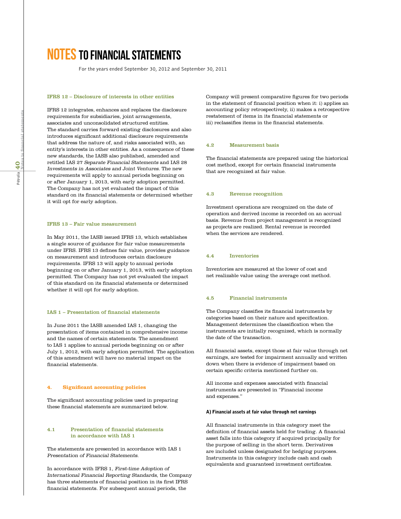For the years ended September 30, 2012 and September 30, 2011

#### IFRS 12 – Disclosure of interests in other entities

IFRS 12 integrates, enhances and replaces the disclosure requirements for subsidiaries, joint arrangements, associates and unconsolidated structured entities. The standard carries forward existing disclosures and also introduces significant additional disclosure requirements that address the nature of, and risks associated with, an entity's interests in other entities. As a consequence of these new standards, the IASB also published, amended and retitled IAS 27 Separate Financial Statements and IAS 28 Investments in Associates and Joint Ventures. The new requirements will apply to annual periods beginning on or after January 1, 2013, with early adoption permitted. The Company has not yet evaluated the impact of this standard on its financial statements or determined whether it will opt for early adoption.

### IFRS 13 – Fair value measurement

In May 2011, the IASB issued IFRS 13, which establishes a single source of guidance for fair value measurements under IFRS. IFRS 13 defines fair value, provides guidance on measurement and introduces certain disclosure requirements. IFRS 13 will apply to annual periods beginning on or after January 1, 2013, with early adoption permitted. The Company has not yet evaluated the impact of this standard on its financial statements or determined whether it will opt for early adoption.

### IAS 1 – Presentation of financial statements

In June 2011 the IASB amended IAS 1, changing the presentation of items contained in comprehensive income and the names of certain statements. The amendment to IAS 1 applies to annual periods beginning on or after July 1, 2012, with early adoption permitted. The application of this amendment will have no material impact on the financial statements.

#### **4. Significant accounting policies**

The significant accounting policies used in preparing these financial statements are summarized below.

### 4.1 Presentation of financial statements in accordance with IAS 1

The statements are presented in accordance with IAS 1 Presentation of Financial Statements.

In accordance with IFRS 1, First-time Adoption of International Financial Reporting Standards, the Company has three statements of financial position in its first IFRS financial statements. For subsequent annual periods, the

Company will present comparative figures for two periods in the statement of financial position when it: i) applies an accounting policy retrospectively, ii) makes a retrospective restatement of items in its financial statements or iii) reclassifies items in the financial statements.

#### 4.2 Measurement basis

The financial statements are prepared using the historical cost method, except for certain financial instruments that are recognized at fair value.

### 4.3 Revenue recognition

Investment operations are recognized on the date of operation and derived income is recorded on an accrual basis. Revenue from project management is recognized as projects are realized. Rental revenue is recorded when the services are rendered.

### 4.4 Inventories

Inventories are measured at the lower of cost and net realizable value using the average cost method.

### 4.5 Financial instruments

The Company classifies its financial instruments by categories based on their nature and specification. Management determines the classification when the instruments are initially recognized, which is normally the date of the transaction.

All financial assets, except those at fair value through net earnings, are tested for impairment annually and written down when there is evidence of impairment based on certain specific criteria mentioned further on.

All income and expenses associated with financial instruments are presented in "Financial income and expenses."

### A) Financial assets at fair value through net earnings

All financial instruments in this category meet the definition of financial assets held for trading. A financial asset falls into this category if acquired principally for the purpose of selling in the short term. Derivatives are included unless designated for hedging purposes. Instruments in this category include cash and cash equivalents and guaranteed investment certificates.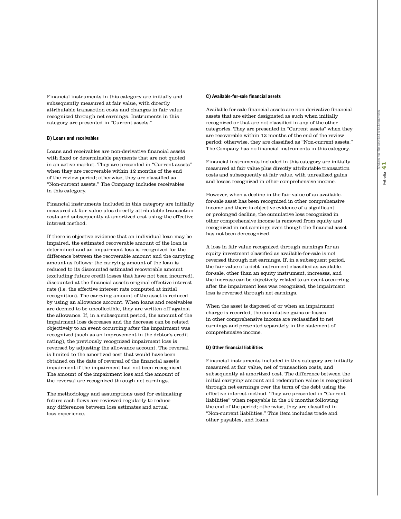Financial instruments in this category are initially and subsequently measured at fair value, with directly attributable transaction costs and changes in fair value recognized through net earnings. Instruments in this category are presented in "Current assets."

### B) Loans and receivables

Loans and receivables are non-derivative financial assets with fixed or determinable payments that are not quoted in an active market. They are presented in "Current assets" when they are recoverable within 12 months of the end of the review period; otherwise, they are classified as "Non-current assets." The Company includes receivables in this category.

Financial instruments included in this category are initially measured at fair value plus directly attributable transaction costs and subsequently at amortized cost using the effective interest method.

If there is objective evidence that an individual loan may be impaired, the estimated recoverable amount of the loan is determined and an impairment loss is recognized for the difference between the recoverable amount and the carrying amount as follows: the carrying amount of the loan is reduced to its discounted estimated recoverable amount (excluding future credit losses that have not been incurred), discounted at the financial asset's original effective interest rate (i.e. the effective interest rate computed at initial recognition). The carrying amount of the asset is reduced by using an allowance account. When loans and receivables are deemed to be uncollectible, they are written off against the allowance. If, in a subsequent period, the amount of the impairment loss decreases and the decrease can be related objectively to an event occurring after the impairment was recognized (such as an improvement in the debtor's credit rating), the previously recognized impairment loss is reversed by adjusting the allowance account. The reversal is limited to the amortized cost that would have been obtained on the date of reversal of the financial asset's impairment if the impairment had not been recognised. The amount of the impairment loss and the amount of the reversal are recognized through net earnings.

The methodology and assumptions used for estimating future cash flows are reviewed regularly to reduce any differences between loss estimates and actual loss experience.

### C) Available-for-sale financial assets

Available-for-sale financial assets are non-derivative financial assets that are either designated as such when initially recognized or that are not classified in any of the other categories. They are presented in "Current assets" when they are recoverable within 12 months of the end of the review period; otherwise, they are classified as "Non-current assets." The Company has no financial instruments in this category.

Financial instruments included in this category are initially measured at fair value plus directly attributable transaction costs and subsequently at fair value, with unrealized gains and losses recognized in other comprehensive income.

However, when a decline in the fair value of an availablefor-sale asset has been recognized in other comprehensive income and there is objective evidence of a significant or prolonged decline, the cumulative loss recognized in other comprehensive income is removed from equity and recognized in net earnings even though the financial asset has not been derecognized.

A loss in fair value recognized through earnings for an equity investment classified as available-for-sale is not reversed through net earnings. If, in a subsequent period, the fair value of a debt instrument classified as availablefor-sale, other than an equity instrument, increases, and the increase can be objectively related to an event occurring after the impairment loss was recognized, the impairment loss is reversed through net earnings.

When the asset is disposed of or when an impairment charge is recorded, the cumulative gains or losses in other comprehensive income are reclassified to net earnings and presented separately in the statement of comprehensive income.

### D) Other financial liabilities

Financial instruments included in this category are initially measured at fair value, net of transaction costs, and subsequently at amortized cost. The difference between the initial carrying amount and redemption value is recognized through net earnings over the term of the debt using the effective interest method. They are presented in "Current liabilities" when repayable in the 12 months following the end of the period; otherwise, they are classified in "Non-current liabilities." This item includes trade and other payables, and loans.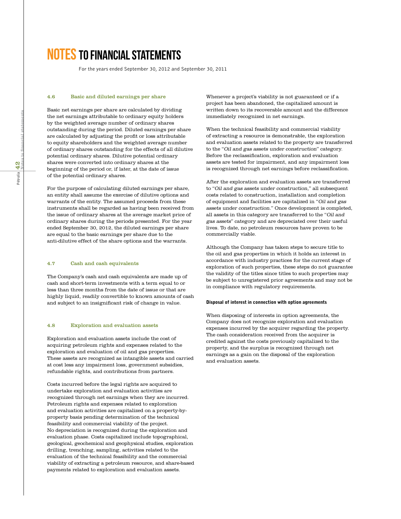For the years ended September 30, 2012 and September 30, 2011

### 4.6 Basic and diluted earnings per share

Basic net earnings per share are calculated by dividing the net earnings attributable to ordinary equity holders by the weighted average number of ordinary shares outstanding during the period. Diluted earnings per share are calculated by adjusting the profit or loss attributable to equity shareholders and the weighted average number of ordinary shares outstanding for the effects of all dilutive potential ordinary shares. Dilutive potential ordinary shares were converted into ordinary shares at the beginning of the period or, if later, at the date of issue of the potential ordinary shares.

For the purpose of calculating diluted earnings per share, an entity shall assume the exercise of dilutive options and warrants of the entity. The assumed proceeds from these instruments shall be regarded as having been received from the issue of ordinary shares at the average market price of ordinary shares during the periods presented. For the year ended September 30, 2012, the diluted earnings per share are equal to the basic earnings per share due to the anti-dilutive effect of the share options and the warrants.

### 4.7 Cash and cash equivalents

The Company's cash and cash equivalents are made up of cash and short-term investments with a term equal to or less than three months from the date of issue or that are highly liquid, readily convertible to known amounts of cash and subject to an insignificant risk of change in value.

### 4.8 Exploration and evaluation assets

Exploration and evaluation assets include the cost of acquiring petroleum rights and expenses related to the exploration and evaluation of oil and gas properties. These assets are recognized as intangible assets and carried at cost less any impairment loss, government subsidies, refundable rights, and contributions from partners.

Costs incurred before the legal rights are acquired to undertake exploration and evaluation activities are recognized through net earnings when they are incurred. Petroleum rights and expenses related to exploration and evaluation activities are capitalized on a property-byproperty basis pending determination of the technical feasibility and commercial viability of the project. No depreciation is recognized during the exploration and evaluation phase. Costs capitalized include topographical, geological, geochemical and geophysical studies, exploration drilling, trenching, sampling, activities related to the evaluation of the technical feasibility and the commercial viability of extracting a petroleum resource, and share-based payments related to exploration and evaluation assets.

Whenever a project's viability is not guaranteed or if a project has been abandoned, the capitalized amount is written down to its recoverable amount and the difference immediately recognized in net earnings.

When the technical feasibility and commercial viability of extracting a resource is demonstrable, the exploration and evaluation assets related to the property are transferred to the "Oil and gas assets under construction" category. Before the reclassification, exploration and evaluation assets are tested for impairment, and any impairment loss is recognized through net earnings before reclassification.

After the exploration and evaluation assets are transferred to "Oil and gas assets under construction," all subsequent costs related to construction, installation and completion of equipment and facilities are capitalized in "Oil and gas assets under construction." Once development is completed, all assets in this category are transferred to the "Oil and gas assets" category and are depreciated over their useful lives. To date, no petroleum resources have proven to be commercially viable.

Although the Company has taken steps to secure title to the oil and gas properties in which it holds an interest in accordance with industry practices for the current stage of exploration of such properties, these steps do not guarantee the validity of the titles since titles to such properties may be subject to unregistered prior agreements and may not be in compliance with regulatory requirements.

### Disposal of interest in connection with option agreements

When disposing of interests in option agreements, the Company does not recognize exploration and evaluation expenses incurred by the acquirer regarding the property. The cash consideration received from the acquirer is credited against the costs previously capitalized to the property, and the surplus is recognized through net earnings as a gain on the disposal of the exploration and evaluation assets.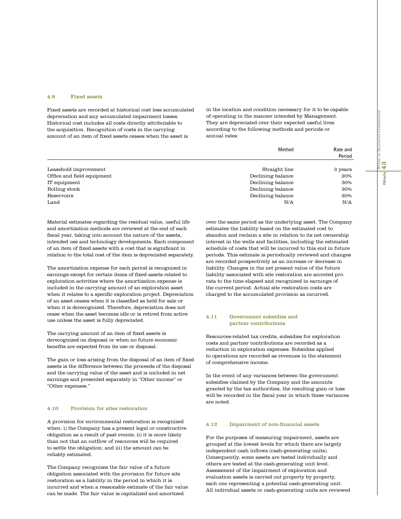### 4.9 Fixed assets

Fixed assets are recorded at historical cost less accumulated depreciation and any accumulated impairment losses. Historical cost includes all costs directly attributable to the acquisition. Recognition of costs in the carrying amount of an item of fixed assets ceases when the asset is

in the location and condition necessary for it to be capable of operating in the manner intended by Management. They are depreciated over their expected useful lives according to the following methods and periods or annual rates:

|                            | Method            | Rate and |
|----------------------------|-------------------|----------|
|                            |                   | Period   |
|                            |                   |          |
| Leasehold improvement      | Straight line     | 3 years  |
| Office and field equipment | Declining balance | 20%      |
| IT equipment               | Declining balance | 30%      |
| Rolling stock              | Declining balance | 30%      |
| Reservoirs                 | Declining balance | 20%      |
| $_{\rm Land}$              | N/A               | N/A      |
|                            |                   |          |

Material estimates regarding the residual value, useful life and amortization methods are reviewed at the end of each fiscal year, taking into account the nature of the assets, intended use and technology developments. Each component of an item of fixed assets with a cost that is significant in relation to the total cost of the item is depreciated separately.

The amortization expense for each period is recognized in earnings except for certain items of fixed assets related to exploration activities where the amortization expense is included in the carrying amount of an exploration asset when it relates to a specific exploration project. Depreciation of an asset ceases when it is classified as held for sale or when it is derecognized. Therefore, depreciation does not cease when the asset becomes idle or is retired from active use unless the asset is fully depreciated.

The carrying amount of an item of fixed assets is derecognized on disposal or when no future economic benefits are expected from its use or disposal.

The gain or loss arising from the disposal of an item of fixed assets is the difference between the proceeds of the disposal and the carrying value of the asset and is included in net earnings and presented separately in "Other income" or "Other expenses."

### 4.10 Provision for sites restoration

A provision for environmental restoration is recognized when: i) the Company has a present legal or constructive obligation as a result of past events; ii) it is more likely than not that an outflow of resources will be required to settle the obligation; and iii) the amount can be reliably estimated.

The Company recognizes the fair value of a future obligation associated with the provision for future site restoration as a liability in the period in which it is incurred and when a reasonable estimate of the fair value can be made. The fair value is capitalized and amortized

over the same period as the underlying asset. The Company estimates the liability based on the estimated cost to abandon and reclaim a site in relation to its net ownership interest in the wells and facilities, including the estimated schedule of costs that will be incurred to this end in future periods. This estimate is periodically reviewed and changes are recorded prospectively as an increase or decrease in liability. Changes in the net present value of the future liability associated with site restoration are accreted pro rata to the time elapsed and recognized in earnings of the current period. Actual site restoration costs are charged to the accumulated provision as incurred.

### 4.11 Government subsidies and partner contributions

Resources-related tax credits, subsidies for exploration costs and partner contributions are recorded as a reduction in exploration expenses. Subsidies applied to operations are recorded as revenues in the statement of comprehensive income.

In the event of any variances between the government subsidies claimed by the Company and the amounts granted by the tax authorities, the resulting gain or loss will be recorded in the fiscal year in which these variances are noted.

#### 4.12 Impairment of non-financial assets

For the purposes of measuring impairment, assets are grouped at the lowest levels for which there are largely independent cash inflows (cash-generating units). Consequently, some assets are tested individually and others are tested at the cash-generating unit level. Assessment of the impairment of exploration and evaluation assets is carried out property by property, each one representing a potential cash-generating unit. All individual assets or cash-generating units are reviewed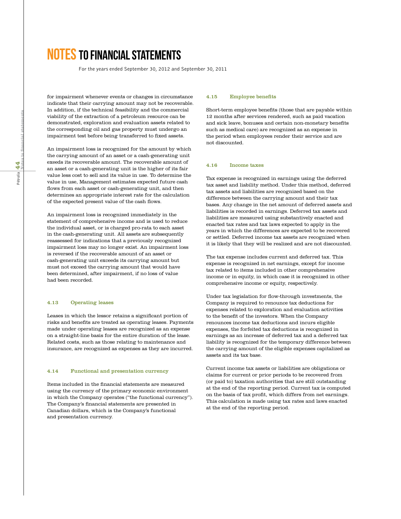For the years ended September 30, 2012 and September 30, 2011

for impairment whenever events or changes in circumstance indicate that their carrying amount may not be recoverable. In addition, if the technical feasibility and the commercial viability of the extraction of a petroleum resource can be demonstrated, exploration and evaluation assets related to the corresponding oil and gas property must undergo an impairment test before being transferred to fixed assets.

An impairment loss is recognized for the amount by which the carrying amount of an asset or a cash-generating unit exeeds its recoverable amount. The recoverable amount of an asset or a cash-generating unit is the higher of its fair value less cost to sell and its value in use. To determine the value in use, Management estimates expected future cash flows from each asset or cash-generating unit, and then determines an appropriate interest rate for the calculation of the expected present value of the cash flows.

An impairment loss is recognized immediately in the statement of comprehensive income and is used to reduce the individual asset, or is charged pro-rata to each asset in the cash-generating unit. All assets are subsequently reassessed for indications that a previously recognized impairment loss may no longer exist. An impairment loss is reversed if the recoverable amount of an asset or cash-generating unit exceeds its carrying amount but must not exceed the carrying amount that would have been determined, after impairment, if no loss of value had been recorded.

### 4.13 Operating leases

Leases in which the lessor retains a significant portion of risks and benefits are treated as operating leases. Payments made under operating leases are recognized as an expense on a straight-line basis for the entire duration of the lease. Related costs, such as those relating to maintenance and insurance, are recognized as expenses as they are incurred.

### 4.14 Functional and presentation currency

Items included in the financial statements are measured using the currency of the primary economic environment in which the Company operates ("the functional currency"). The Company's financial statements are presented in Canadian dollars, which is the Company's functional and presentation currency.

### 4.15 Employee benefits

Short-term employee benefits (those that are payable within 12 months after services rendered, such as paid vacation and sick leave, bonuses and certain non-monetary benefits such as medical care) are recognized as an expense in the period when employees render their service and are not discounted.

### 4.16 Income taxes

Tax expense is recognized in earnings using the deferred tax asset and liability method. Under this method, deferred tax assets and liabilities are recognized based on the difference between the carrying amount and their tax bases. Any change in the net amount of deferred assets and liabilities is recorded in earnings. Deferred tax assets and liabilities are measured using substantively enacted and enacted tax rates and tax laws expected to apply in the years in which the differences are expected to be recovered or settled. Deferred income tax assets are recognized when it is likely that they will be realized and are not discounted.

The tax expense includes current and deferred tax. This expense is recognized in net earnings, except for income tax related to items included in other comprehensive income or in equity, in which case it is recognized in other comprehensive income or equity, respectively.

Under tax legislation for flow-through investments, the Company is required to renounce tax deductions for expenses related to exploration and evaluation activities to the benefit of the investors. When the Company renounces income tax deductions and incurs eligible expenses, the forfeited tax deductions is recognized in earnings as an increase of deferred tax and a deferred tax liability is recognized for the temporary difference between the carrying amount of the eligible expenses capitalized as assets and its tax base.

Current income tax assets or liabilities are obligations or claims for current or prior periods to be recovered from (or paid to) taxation authorities that are still outstanding at the end of the reporting period. Current tax is computed on the basis of tax profit, which differs from net earnings. This calculation is made using tax rates and laws enacted at the end of the reporting period.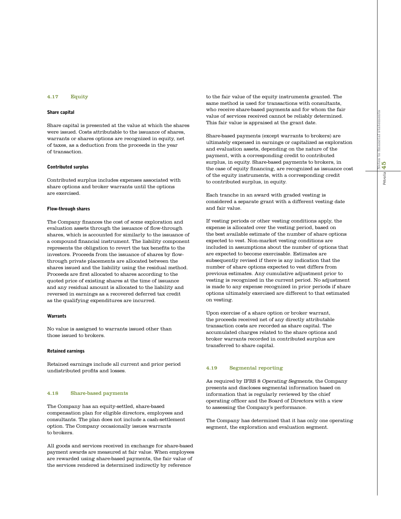### 4.17 Equity

### Share capital

Share capital is presented at the value at which the shares were issued. Costs attributable to the issuance of shares, warrants or shares options are recognized in equity, net of taxes, as a deduction from the proceeds in the year of transaction.

### Contributed surplus

Contributed surplus includes expenses associated with share options and broker warrants until the options are exercised.

### Flow-through shares

The Company finances the cost of some exploration and evaluation assets through the issuance of flow-through shares, which is accounted for similarly to the issuance of a compound financial instrument. The liability component represents the obligation to revert the tax benefits to the investors. Proceeds from the issuance of shares by flowthrough private placements are allocated between the shares issued and the liability using the residual method. Proceeds are first allocated to shares according to the quoted price of existing shares at the time of issuance and any residual amount is allocated to the liability and reversed in earnings as a recovered deferred tax credit as the qualifying expenditures are incurred.

### **Warrants**

No value is assigned to warrants issued other than those issued to brokers.

#### Retained earnings

Retained earnings include all current and prior period undistributed profits and losses.

### 4.18 Share-based payments

The Company has an equity-settled, share-based compensation plan for eligible directors, employees and consultants. The plan does not include a cash-settlement option. The Company occasionally issues warrants to brokers.

All goods and services received in exchange for share-based payment awards are measured at fair value. When employees are rewarded using share-based payments, the fair value of the services rendered is determined indirectly by reference

to the fair value of the equity instruments granted. The same method is used for transactions with consultants, who receive share-based payments and for whom the fair value of services received cannot be reliably determined. This fair value is appraised at the grant date.

Share-based payments (except warrants to brokers) are ultimately expensed in earnings or capitalized as exploration and evaluation assets, depending on the nature of the payment, with a corresponding credit to contributed surplus, in equity. Share-based payments to brokers, in the case of equity financing, are recognized as issuance cost of the equity instruments, with a corresponding credit to contributed surplus, in equity.

Each tranche in an award with graded vesting is considered a separate grant with a different vesting date and fair value.

If vesting periods or other vesting conditions apply, the expense is allocated over the vesting period, based on the best available estimate of the number of share options expected to vest. Non-market vesting conditions are included in assumptions about the number of options that are expected to become exercisable. Estimates are subsequently revised if there is any indication that the number of share options expected to vest differs from previous estimates. Any cumulative adjustment prior to vesting is recognized in the current period. No adjustment is made to any expense recognized in prior periods if share options ultimately exercised are different to that estimated on vesting.

Upon exercise of a share option or broker warrant, the proceeds received net of any directly attributable transaction costs are recorded as share capital. The accumulated charges related to the share options and broker warrants recorded in contributed surplus are transferred to share capital.

### 4.19 Segmental reporting

As required by IFRS 8 Operating Segments, the Company presents and discloses segmental information based on information that is regularly reviewed by the chief operating officer and the Board of Directors with a view to assessing the Company's performance.

The Company has determined that it has only one operating segment, the exploration and evaluation segment.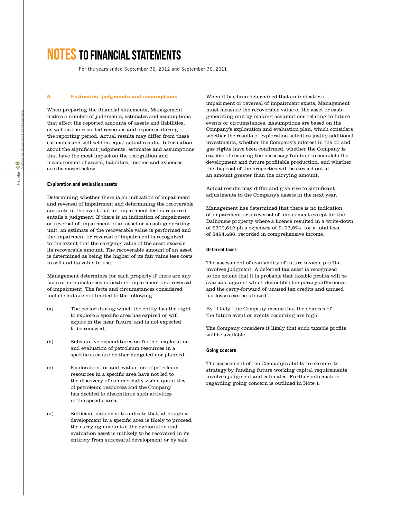For the years ended September 30, 2012 and September 30, 2011

### **5. Estimates, judgments and assumptions**

When preparing the financial statements, Management makes a number of judgments, estimates and assumptions that affect the reported amounts of assets and liabilities, as well as the reported revenues and expenses during the reporting period. Actual results may differ from these estimates and will seldom equal actual results. Information about the significant judgments, estimates and assumptions that have the most impact on the recognition and measurement of assets, liabilities, income and expenses are discussed below.

#### Exploration and evaluation assets

Determining whether there is an indication of impairment and reversal of impairment and determining the recoverable amounts in the event that an impairment test is required entails a judgment. If there is an indication of impairment or reversal of impairment of an asset or a cash-generating unit, an estimate of the recoverable value is performed and the impairment or reversal of impairment is recognized to the extent that the carrying value of the asset exceeds its recoverable amount. The recoverable amount of an asset is determined as being the higher of its fair value less costs to sell and its value in use.

Management determines for each property if there are any facts or circumstances indicating impairment or a reversal of impairment. The facts and circumstances considered include but are not limited to the following:

- (a) The period during which the entity has the right to explore a specific area has expired or will expire in the near future, and is not expected to be renewed;
- (b) Substantive expenditures on further exploration and evaluation of petroleum resources in a specific area are neither budgeted nor planned;
- (c) Exploration for and evaluation of petroleum resources in a specific area have not led to the discovery of commercially viable quantities of petroleum resources and the Company has decided to discontinue such activities in the specific area;
- (d) Sufficient data exist to indicate that, although a development in a specific area is likely to proceed, the carrying amount of the exploration and evaluation asset is unlikely to be recovered in its entirety from successful development or by sale.

When it has been determined that an indicator of impairment or reversal of impairment exists, Management must measure the recoverable value of the asset or cashgenerating unit by making assumptions relating to future events or circumstances. Assumptions are based on the Company's exploration and evaluation plan, which considers whether the results of exploration activities justify additional investments, whether the Company's interest in the oil and gas rights have been confirmed, whether the Company is capable of securing the necessary funding to complete the development and future profitable production, and whether the disposal of the properties will be carried out at an amount greater than the carrying amount.

Actual results may differ and give rise to significant adjustments to the Company's assets in the next year.

Management has determined that there is no indication of impairment or a reversal of impairment except for the Dalhousie property where a licence resulted in a write-down of \$300,612 plus expenses of \$193,874, for a total loss of \$494,486, recorded in comprehensive income.

### Deferred taxes

The assessment of availability of future taxable profits involves judgment. A deferred tax asset is recognized to the extent that it is probable that taxable profits will be available against which deductible temporary differences and the carry-forward of unused tax credits and unused tax losses can be utilized.

By "likely" the Company means that the chances of the future event or events occurring are high.

The Company considers it likely that such taxable profits will be available.

#### Going concern

The assessment of the Company's ability to execute its strategy by funding future working capital requirements involves judgment and estimates. Further information regarding going concern is outlined in Note 1.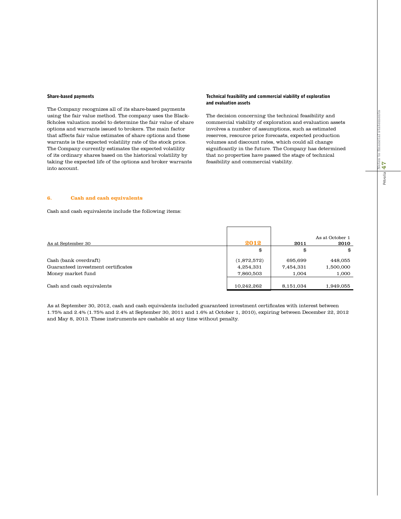### Share-based payments

The Company recognizes all of its share-based payments using the fair value method. The company uses the Black-Scholes valuation model to determine the fair value of share options and warrants issued to brokers. The main factor that affects fair value estimates of share options and these warrants is the expected volatility rate of the stock price. The Company currently estimates the expected volatility of its ordinary shares based on the historical volatility by taking the expected life of the options and broker warrants into account.

### Technical feasibility and commercial viability of exploration and evaluation assets

The decision concerning the technical feasibility and commercial viability of exploration and evaluation assets involves a number of assumptions, such as estimated reserves, resource price forecasts, expected production volumes and discount rates, which could all change significantly in the future. The Company has determined that no properties have passed the stage of technical feasibility and commercial viability.

### **6. Cash and cash equivalents**

Cash and cash equivalents include the following items:

| As at September 30                                      | 2012<br>\$             | 2011<br>\$         | As at October 1<br>2010<br>\$ |
|---------------------------------------------------------|------------------------|--------------------|-------------------------------|
| Cash (bank overdraft)                                   | (1,872,572)            | 695.699            | 448,055                       |
| Guaranteed investment certificates<br>Money market fund | 4,254,331<br>7,860,503 | 7,454,331<br>1.004 | 1,500,000<br>1,000            |
| Cash and cash equivalents                               | 10.242.262             | 8,151,034          | 1,949,055                     |

As at September 30, 2012, cash and cash equivalents included guaranteed investment certificates with interest between 1.75% and 2.4% (1.75% and 2.4% at September 30, 2011 and 1.6% at October 1, 2010), expiring between December 22, 2012 and May 8, 2013. These instruments are cashable at any time without penalty.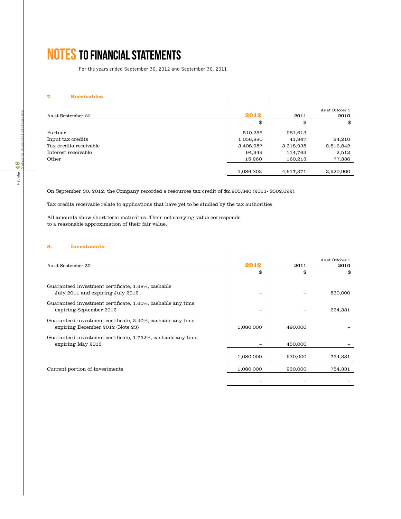For the years ended September 30, 2012 and September 30, 2011

### **7. Receivables**

| As at September 30     | 2012<br>\$ | 2011<br>\$ | As at October 1<br>2010<br>\$ |
|------------------------|------------|------------|-------------------------------|
| Partner                | 510,256    | 981,613    |                               |
| Input tax credits      | 1,056,880  | 41,847     | 24,210                        |
| Tax credits receivable | 3,408,957  | 3,318,935  | 2,816,842                     |
| Interest receivable    | 94,949     | 114,763    | 2,512                         |
| Other                  | 15,260     | 160,213    | 77,336                        |
|                        | 5,086,302  | 4,617,371  | 2,920,900                     |

On September 30, 2012, the Company recorded a resources tax credit of \$2,905,840 (2011- \$502,092).

Tax credits receivable relate to applications that have yet to be studied by the tax authorities.

All amounts show short-term maturities. Their net carrying value corresponds to a reasonable approximation of their fair value.

### **8. Investments**

| As at September 30                                                                               | 2012<br>\$ | 2011<br>\$ | As at October 1<br>2010<br>\$ |
|--------------------------------------------------------------------------------------------------|------------|------------|-------------------------------|
| Guaranteed investment certificate, 1.68%, cashable<br>July 2011 and expiring July 2012           |            |            | 530,000                       |
| Guaranteed investment certificate, 1.60%, cashable any time,<br>expiring September 2012          |            |            | 224,331                       |
| Guaranteed investment certificate, 2.40%, cashable any time,<br>expiring December 2012 (Note 23) | 1,080,000  | 480,000    |                               |
| Guaranteed investment certificate, 1.752%, cashable any time,<br>expiring May 2013               |            | 450,000    |                               |
|                                                                                                  | 1,080,000  | 930,000    | 754,331                       |
| Current portion of investments                                                                   | 1,080,000  | 930,000    | 754,331                       |
|                                                                                                  |            |            |                               |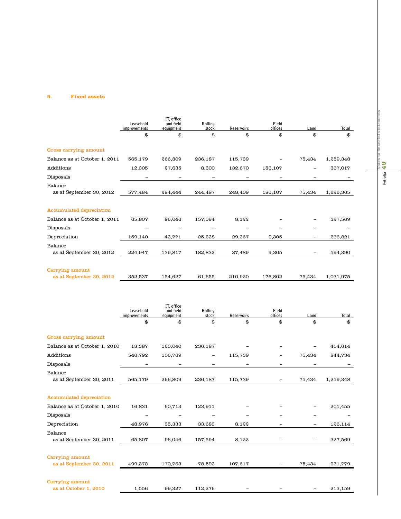### **9. Fixed assets**

|                                             | Leasehold                       | IT, office<br>Rolling<br>and field<br>Field |                        |                  |                        |                 |             |
|---------------------------------------------|---------------------------------|---------------------------------------------|------------------------|------------------|------------------------|-----------------|-------------|
|                                             | improvements<br>\$              | equipment<br>\$                             | stock<br>\$            | Reservoirs<br>\$ | offices<br>\$          | Land<br>\$      | Total<br>\$ |
| Gross carrying amount                       |                                 |                                             |                        |                  |                        |                 |             |
| Balance as at October 1, 2011               | 565,179                         | 266,809                                     | 236,187                | 115,739          |                        | 75,434          | 1,259,348   |
| Additions                                   | 12,305                          | 27,635                                      | 8,300                  | 132,670          | 186,107                |                 | 367,017     |
| Disposals                                   |                                 |                                             |                        |                  |                        |                 |             |
| Balance<br>as at September 30, 2012         | 577,484                         | 294,444                                     | 244,487                | 248,409          | 186,107                | 75,434          | 1,626,365   |
| <b>Accumulated depreciation</b>             |                                 |                                             |                        |                  |                        |                 |             |
| Balance as at October 1, 2011               | 65,807                          | 96,046                                      | 157,594                | 8,122            |                        |                 | 327,569     |
| Disposals                                   |                                 |                                             |                        |                  |                        |                 |             |
| Depreciation                                | 159,140                         | 43,771                                      | 25,238                 | 29,367           | 9,305                  | $\qquad \qquad$ | 266,821     |
| Balance<br>as at September 30, 2012         | 224,947                         | 139,817                                     | 182,832                | 37,489           | 9,305                  |                 | 594,390     |
| Carrying amount<br>as at September 30, 2012 | 352,537                         | 154,627                                     | 61,655                 | 210,920          | 176,802                | 75,434          | 1,031,975   |
|                                             | Leasehold<br>improvements<br>\$ | IT, office<br>and field<br>equipment<br>\$  | Rolling<br>stock<br>\$ | Reservoirs<br>\$ | Field<br>offices<br>\$ | Land<br>\$      | Total<br>\$ |
| Gross carrying amount                       |                                 |                                             |                        |                  |                        |                 |             |
| Balance as at October 1, 2010               | 18,387                          | 160,040                                     | 236,187                |                  |                        |                 | 414,614     |
| Additions                                   | 546,792                         | 106,769                                     |                        | 115,739          |                        | 75,434          | 844,734     |
| Disposals                                   |                                 |                                             |                        |                  |                        |                 |             |
| Balance<br>as at September 30, 2011         | 565,179                         | 266,809                                     | 236,187                | 115,739          |                        | 75,434          | 1,259,348   |
| <b>Accumulated depreciation</b>             |                                 |                                             |                        |                  |                        |                 |             |
| Balance as at October 1, 2010               | 16,831                          | 60,713                                      | 123,911                |                  |                        |                 | 201,455     |
| Disposals                                   |                                 |                                             |                        |                  |                        |                 |             |
| Depreciation                                | 48,976                          | 35,333                                      | 33,683                 | 8,122            |                        |                 | 126,114     |
| Balance<br>as at September 30, 2011         | 65,807                          | 96,046                                      | 157,594                | 8,122            |                        |                 | 327,569     |
| Carrying amount<br>as at September 30, 2011 | 499,372                         | 170,763                                     | 78,593                 | 107,617          |                        | 75,434          | 931,779     |
| Carrying amount<br>as at October 1, 2010    | 1,556                           | 99,327                                      | 112,276                |                  |                        |                 | 213,159     |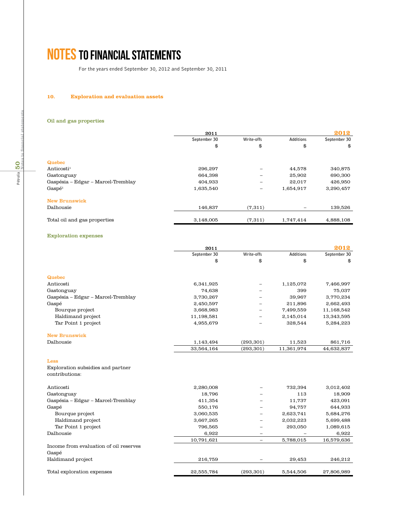For the years ended September 30, 2012 and September 30, 2011

### **10. Exploration and evaluation assets**

### Oil and gas properties

|                                    | 2011         |            |                  | 2012         |
|------------------------------------|--------------|------------|------------------|--------------|
|                                    | September 30 | Write-offs | <b>Additions</b> | September 30 |
|                                    | \$           | \$         | \$               | \$           |
| Quebec                             |              |            |                  |              |
| Anticosti <sup>1</sup>             | 296,297      |            | 44,578           | 340,875      |
| Gastonguay                         | 664,398      |            | 25,902           | 690,300      |
| Gaspésia – Edgar – Marcel-Tremblay | 404.933      |            | 22,017           | 426,950      |
| Gasp <sup>4</sup>                  | 1,635,540    | -          | 1,654,917        | 3,290,457    |
| <b>New Brunswick</b>               |              |            |                  |              |
| Dalhousie                          | 146,837      | (7,311)    |                  | 139,526      |
| Total oil and gas properties       | 3,148,005    | (7,311)    | 1,747,414        | 4,888,108    |

### Exploration expenses

|                                    | 2011         |            |                  | 2012         |
|------------------------------------|--------------|------------|------------------|--------------|
|                                    | September 30 | Write-offs | <b>Additions</b> | September 30 |
|                                    | \$           | \$         | \$               | \$           |
| <b>Quebec</b>                      |              |            |                  |              |
| Anticosti                          | 6,341,925    |            | 1,125,072        | 7,466,997    |
| Gastonguay                         | 74,638       |            | 399              | 75,037       |
| Gaspésia - Edgar - Marcel-Tremblay | 3,730,267    |            | 39,967           | 3,770,234    |
| Gaspé                              | 2,450,597    |            | 211,896          | 2,662,493    |
| Bourque project                    | 3,668,983    |            | 7,499,559        | 11,168,542   |
| Haldimand project                  | 11,198,581   | -          | 2,145,014        | 13,343,595   |
| Tar Point 1 project                | 4,955,679    |            | 328,544          | 5,284,223    |
| <b>New Brunswick</b>               |              |            |                  |              |
| Dalhousie                          | 1,143,494    | (293, 301) | 11,523           | 861,716      |
|                                    | 33,564,164   | (293, 301) | 11,361,974       | 44,632,837   |
| Less                               |              |            |                  |              |
| Exploration subsidies and partner  |              |            |                  |              |
| contributions:                     |              |            |                  |              |
| Anticosti                          | 2,280,008    |            | 732,394          | 3,012,402    |
| Gastonguay                         | 18,796       |            | 113              | 18,909       |
| Gaspésia - Edgar - Marcel-Tremblay | 411,354      |            | 11,737           | 423,091      |
| Gaspé                              | 550,176      |            | 94,757           | 644,933      |
| Bourque project                    | 3,060,535    |            | 2,623,741        | 5,684,276    |

Haldimand project 3,667,265 – 2,032,223 5,699,488

Tar Point 1 project 796,565 – 293,050 1,089,615<br>
293,050 1,089,615 – 6,922 – 6,922 – 6,922 Dalhousie 6,922 – – 6,922 10,791,621 – 5,788,015 16,579,636 Income from evaluation of oil reserves Gaspé Haldimand project 216,759 – 29,453 246,212 Total exploration expenses 22,555,784 (293,301) 5,544,506 27,806,989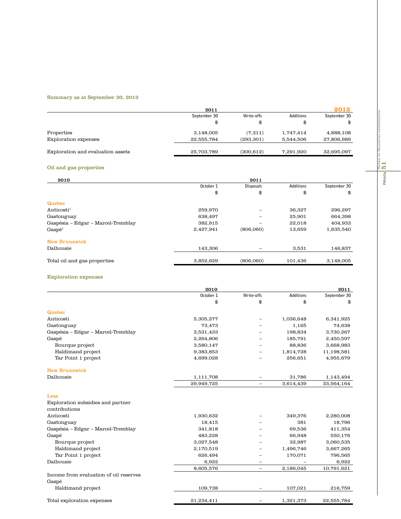### Summary as at September 30, 2012

|                                   | 2011         |            |                  | 2012         |
|-----------------------------------|--------------|------------|------------------|--------------|
|                                   | September 30 | Write-offs | <b>Additions</b> | September 30 |
|                                   | ЯЗ           | \$         | \$               |              |
| Properties                        | 3,148,005    | (7,311)    | 1,747,414        | 4,888,108    |
| Exploration expenses              | 22,555,784   | (293, 301) | 5.544.506        | 27,806,989   |
| Exploration and evaluation assets | 25,703,789   | (300, 612) | 7,291,920        | 32,695,097   |

### Oil and gas properties

| 2010                               |           | 2011             |                  |              |
|------------------------------------|-----------|------------------|------------------|--------------|
|                                    | October 1 | <b>Disposals</b> | <b>Additions</b> | September 30 |
|                                    | \$        | \$               | \$               | \$           |
| Quebec                             |           |                  |                  |              |
| Anticosti <sup>1</sup>             | 259.970   |                  | 36,327           | 296,297      |
| Gastonguay                         | 638,497   |                  | 25,901           | 664,398      |
| Gaspésia – Edgar – Marcel-Tremblay | 382,915   |                  | 22,018           | 404,933      |
| Gasp <sup>4</sup>                  | 2,427,941 | (806,060)        | 13,659           | 1,635,540    |
| <b>New Brunswick</b>               |           |                  |                  |              |
| Dalhousie                          | 143,306   |                  | 3,531            | 146,837      |
| Total oil and gas properties       | 3,852,629 | (806,060)        | 101,436          | 3,148,005    |

### Exploration expenses

|                                        | 2010       |                          |                  | 2011         |
|----------------------------------------|------------|--------------------------|------------------|--------------|
|                                        | October 1  | Write-offs               | <b>Additions</b> | September 30 |
|                                        | \$         | \$                       | \$               | \$           |
| <b>Quebec</b>                          |            |                          |                  |              |
| Anticosti                              | 5,305,277  |                          | 1,036,648        | 6,341,925    |
| Gastonguay                             | 73,473     |                          | 1,165            | 74,638       |
| Gaspésia - Edgar - Marcel-Tremblay     | 3,531,433  |                          | 198,834          | 3,730,267    |
| Gaspé                                  | 2,264,806  |                          | 185,791          | 2,450,597    |
| Bourque project                        | 3,580,147  |                          | 88,836           | 3,668,983    |
| Haldimand project                      | 9,383,853  | $\overline{\phantom{0}}$ | 1,814,728        | 11,198,581   |
| Tar Point 1 project                    | 4,699,028  |                          | 256,651          | 4,955,679    |
| <b>New Brunswick</b>                   |            |                          |                  |              |
| Dalhousie                              | 1,111,708  |                          | 31,786           | 1,143,494    |
|                                        | 29,949,725 | $\overline{\phantom{0}}$ | 3,614,439        | 33,564,164   |
| Less                                   |            |                          |                  |              |
| Exploration subsidies and partner      |            |                          |                  |              |
| contributions                          |            |                          |                  |              |
| Anticosti                              | 1,930,632  |                          | 349,376          | 2,280,008    |
| Gastonguay                             | 18,415     |                          | 381              | 18,796       |
| Gaspésia - Edgar - Marcel-Tremblay     | 341,818    |                          | 69,536           | 411,354      |
| Gaspé                                  | 483,228    |                          | 66,948           | 550,176      |
| Bourque project                        | 3,027,548  |                          | 32,987           | 3,060,535    |
| Haldimand project                      | 2,170,519  |                          | 1,496,746        | 3,667,265    |
| Tar Point 1 project                    | 626,494    |                          | 170,071          | 796,565      |
| Dalhousie                              | 6,922      | $\overline{\phantom{0}}$ |                  | 6,922        |
|                                        | 8,605,576  | $\overline{\phantom{0}}$ | 2,186,045        | 10,791,621   |
| Income from evaluation of oil reserves |            |                          |                  |              |
| Gaspé                                  |            |                          |                  |              |
| Haldimand project                      | 109,738    |                          | 107,021          | 216,759      |
| Total exploration expenses             | 21,234,411 |                          | 1,321,373        | 22,555,784   |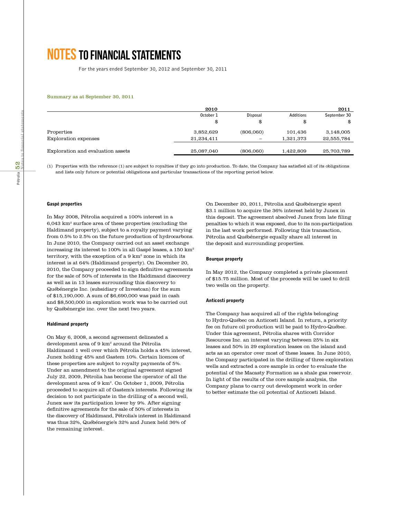For the years ended September 30, 2012 and September 30, 2011

### Summary as at September 30, 2011

|                                   | 2010       |           |                  | 2011         |
|-----------------------------------|------------|-----------|------------------|--------------|
|                                   | October 1  | Disposal  | <b>Additions</b> | September 30 |
|                                   | \$         | \$        | \$               | \$           |
| Properties                        | 3,852,629  | (806,060) | 101.436          | 3,148,005    |
| Exploration expenses              | 21,234,411 |           | 1,321,373        | 22,555,784   |
| Exploration and evaluation assets | 25,087,040 | (806,060) | 1,422,809        | 25,703,789   |

(1) Properties with the reference (1) are subject to royalties if they go into production. To date, the Company has satisfied all of its obligations and lists only future or potential obligations and particular transactions of the reporting period below.

#### Gaspé properties

In May 2008, Pétrolia acquired a 100% interest in a 6,043 km2 surface area of these properties (excluding the Haldimand property), subject to a royalty payment varying from 0.5% to 2.5% on the future production of hydrocarbons. In June 2010, the Company carried out an asset exchange increasing its interest to 100% in all Gaspé leases, a 150 km2 territory, with the exception of a  $9 \text{ km}^2$  zone in which its interest is at 64% (Haldimand property). On December 20, 2010, the Company proceeded to sign definitive agreements for the sale of 50% of interests in the Haldimand discovery as well as in 13 leases surrounding this discovery to Québénergie Inc. (subsidiary of Investcan) for the sum of \$15,190,000. A sum of \$6,690,000 was paid in cash and \$8,500,000 in exploration work was to be carried out by Québénergie inc. over the next two years.

#### Haldimand property

On May 6, 2008, a second agreement delineated a development area of 9 km2 around the Pétrolia Haldimand 1 well over which Pétrolia holds a 45% interest, Junex holding 45% and Gastem 10%. Certain licences of these properties are subject to royalty payments of 5%. Under an amendment to the original agreement signed July 22, 2009, Pétrolia has become the operator of all the development area of 9 km2. On October 1, 2009, Pétrolia proceeded to acquire all of Gastem's interests. Following its decision to not participate in the drilling of a second well, Junex saw its participation lower by 9%. After signing definitive agreements for the sale of 50% of interests in the discovery of Haldimand, Pétrolia's interest in Haldimand was thus 32%, Québénergie's 32% and Junex held 36% of the remaining interest.

On December 20, 2011, Pétrolia and Québénergie spent \$3.1 million to acquire the 36% interest held by Junex in this deposit. The agreement absolved Junex from late filing penalties to which it was exposed, due to its non-participation in the last work performed. Following this transaction, Pétrolia and Québénergie equally share all interest in the deposit and surrounding properties.

#### Bourque property

In May 2012, the Company completed a private placement of \$15.75 million. Most of the proceeds will be used to drill two wells on the property.

#### Anticosti property

The Company has acquired all of the rights belonging to Hydro-Québec on Anticosti Island. In return, a priority fee on future oil production will be paid to Hydro-Québec. Under this agreement, Pétrolia shares with Corridor Resources Inc. an interest varying between 25% in six leases and 50% in 29 exploration leases on the island and acts as an operator over most of these leases. In June 2010, the Company participated in the drilling of three exploration wells and extracted a core sample in order to evaluate the potential of the Macasty Formation as a shale gas reservoir. In light of the results of the core sample analysis, the Company plans to carry out development work in order to better estimate the oil potential of Anticosti Island.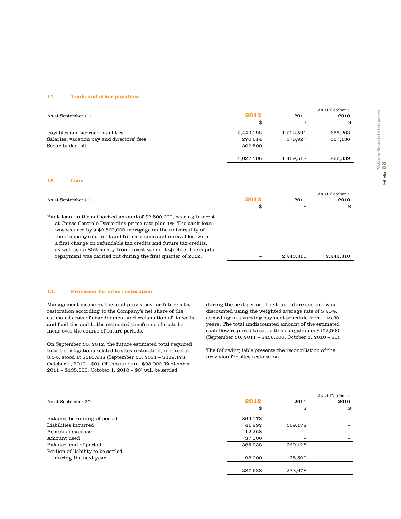### **11. Trade and other payables**

| As at September 30                         | 2012      | 2011      | As at October 1<br>2010 |
|--------------------------------------------|-----------|-----------|-------------------------|
|                                            | \$        | \$        |                         |
| Payables and accrued liabilities           | 2,449,192 | 1,292,591 | 655,203                 |
| Salaries, vacation pay and directors' fees | 270,614   | 176,927   | 167,136                 |
| Security deposit                           | 307,500   |           |                         |
|                                            |           |           |                         |
|                                            | 3,027,306 | 1,469,518 | 822,339                 |

### **12. Loan**

| As at September 30                                                                                                                                                                                                                                                                                                                                                                                                                                                              | 2012 | 2011      | As at October 1<br>2010 |
|---------------------------------------------------------------------------------------------------------------------------------------------------------------------------------------------------------------------------------------------------------------------------------------------------------------------------------------------------------------------------------------------------------------------------------------------------------------------------------|------|-----------|-------------------------|
|                                                                                                                                                                                                                                                                                                                                                                                                                                                                                 | \$   | \$        | \$                      |
| Bank loan, in the authorized amount of \$2,500,000, bearing interest<br>at Caisse Centrale Desjarding prime rate plus 1%. The bank loan<br>was secured by a \$2,500,000 mortgage on the universality of<br>the Company's current and future claims and receivables, with<br>a first charge on refundable tax credits and future tax credits.<br>as well as an 80% surety from Investissement Québec. The capital<br>repayment was carried out during the first quarter of 2012. |      | 2.243.310 | 2.243.310               |

### **13. Provision for sites restoration**

Management measures the total provisions for future sites restoration according to the Company's net share of the estimated costs of abandonment and reclamation of its wells and facilities and to the estimated timeframe of costs to incur over the course of future periods.

On September 30, 2012, the future estimated total required to settle obligations related to sites restoration, indexed at 3.5%, stood at \$385,938 (September 30, 2011 – \$369,178, October 1, 2010 – \$0). Of this amount, \$98,000 (September 2011 – \$135,500, October 1, 2010 – \$0) will be settled

during the next period. The total future amount was discounted using the weighted average rate of 5.25%, according to a varying payment schedule from 1 to 30 years. The total undiscounted amount of the estimated cash flow required to settle this obligation is \$452,500 (September 30, 2011 – \$436,000, October 1, 2010 – \$0).

The following table presents the reconciliation of the provision for sites restoration.

| As at September 30                 | 2012     | 2011    | As at October 1<br>2010 |
|------------------------------------|----------|---------|-------------------------|
|                                    | \$       | \$      | \$                      |
| Balance, beginning of period       | 369,178  |         |                         |
| Liabilities incurred               | 41,992   | 369,178 |                         |
| Accretion expense                  | 12,268   |         |                         |
| Amount used                        | (37,500) |         |                         |
| Balance, end of period             | 385,938  | 369,178 |                         |
| Portion of liability to be settled |          |         |                         |
| during the next year               | 98,000   | 135,500 |                         |
|                                    | 287,938  | 233,678 |                         |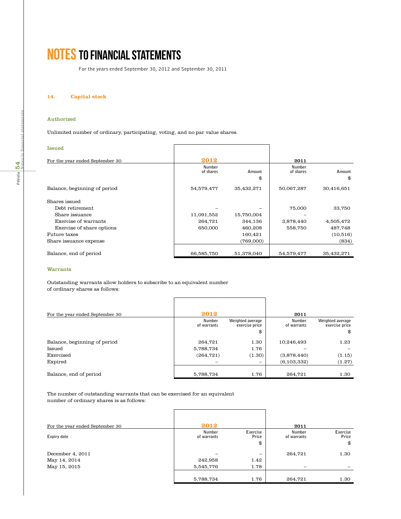For the years ended September 30, 2012 and September 30, 2011

### **14. Capital stock**

### Authorized

Unlimited number of ordinary, participating, voting, and no par value shares.

| <b>Issued</b>                   |                     |            |                     |            |
|---------------------------------|---------------------|------------|---------------------|------------|
| For the year ended September 30 | 2012                |            | 2011                |            |
|                                 | Number<br>of shares | Amount     | Number<br>of shares | Amount     |
|                                 |                     | \$         |                     | \$         |
| Balance, beginning of period    | 54,579,477          | 35,432,271 | 50,067,287          | 30,416,651 |
| Shares issued                   |                     |            |                     |            |
| Debt retirement                 |                     |            | 75,000              | 33,750     |
| Share issuance                  | 11,091,552          | 15,750,004 |                     |            |
| Exercise of warrants            | 264,721             | 344,136    | 3,878,440           | 4,505,472  |
| Exercise of share options       | 650,000             | 460,208    | 558,750             | 487,748    |
| Future taxes                    |                     | 160,421    |                     | (10,516)   |
| Share issuance expense          |                     | (769,000)  |                     | (834)      |
| Balance, end of period          | 66,585,750          | 51,378,040 | 54,579,477          | 35,432,271 |

### Warrants

Outstanding warrants allow holders to subscribe to an equivalent number of ordinary shares as follows:

| For the year ended September 30 | 2012<br>Number<br>of warrants | Weighted average<br>exercise price<br>\$ | 2011<br>Number<br>of warrants | Weighted average<br>exercise price<br>\$ |
|---------------------------------|-------------------------------|------------------------------------------|-------------------------------|------------------------------------------|
| Balance, beginning of period    | 264.721                       | 1.30                                     | 10,246,493                    | 1.23                                     |
| Issued                          | 5,788,734                     | 1.76                                     |                               |                                          |
| Exercised                       | (264, 721)                    | (1.30)                                   | (3,878,440)                   | (1.15)                                   |
| Expired                         |                               | -                                        | (6, 103, 332)                 | (1.27)                                   |
| Balance, end of period          | 5,788,734                     | 1.76                                     | 264.721                       | 1.30                                     |
|                                 |                               |                                          |                               |                                          |

The number of outstanding warrants that can be exercised for an equivalent number of ordinary shares is as follows:

| For the year ended September 30 | 2012                  |                   | 2011                  |                   |
|---------------------------------|-----------------------|-------------------|-----------------------|-------------------|
| Expiry date                     | Number<br>of warrants | Exercise<br>Price | Number<br>of warrants | Exercise<br>Price |
|                                 |                       | \$                |                       | \$                |
| December 4, 2011                |                       |                   | 264,721               | 1.30              |
| May 14, 2014                    | 242,958               | 1.42              |                       |                   |
| May 15, 2015                    | 5,545,776             | 1.78              |                       |                   |
|                                 | 5,788,734             | 1.76              | 264,721               | 1.30              |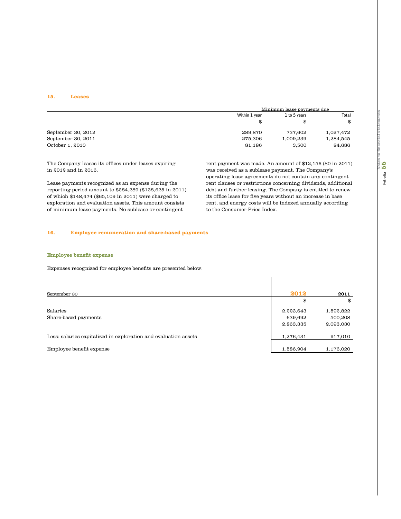### **15. Leases**

|                    | Minimum lease payments due |           |           |
|--------------------|----------------------------|-----------|-----------|
|                    | Within 1 year              | Total     |           |
|                    | \$                         | \$        | \$        |
| September 30, 2012 | 289,870                    | 737.602   | 1,027,472 |
| September 30, 2011 | 275,306                    | 1,009,239 | 1,284,545 |
| October 1, 2010    | 81,186                     | 3,500     | 84,686    |

The Company leases its offices under leases expiring in 2012 and in 2016.

Lease payments recognized as an expense during the reporting period amount to \$284,289 (\$138,625 in 2011) of which \$148,474 (\$65,109 in 2011) were charged to exploration and evaluation assets. This amount consists of minimum lease payments. No sublease or contingent

rent payment was made. An amount of \$12,156 (\$0 in 2011) was received as a sublease payment. The Company's operating lease agreements do not contain any contingent rent clauses or restrictions concerning dividends, additional debt and further leasing. The Company is entitled to renew its office lease for five years without an increase in base rent, and energy costs will be indexed annually according to the Consumer Price Index.

### **16. Employee remuneration and share-based payments**

### Employee benefit expense

Expenses recognized for employee benefits are presented below:

| September 30                                                    | 2012      | 2011      |
|-----------------------------------------------------------------|-----------|-----------|
|                                                                 | \$        | \$        |
| Salaries                                                        | 2,223,643 | 1,592,822 |
| Share-based payments                                            | 639,692   | 500,208   |
|                                                                 | 2,863,335 | 2,093,030 |
| Less: salaries capitalized in exploration and evaluation assets | 1,276,431 | 917,010   |
|                                                                 |           |           |
| Employee benefit expense                                        | 1,586,904 | 1,176,020 |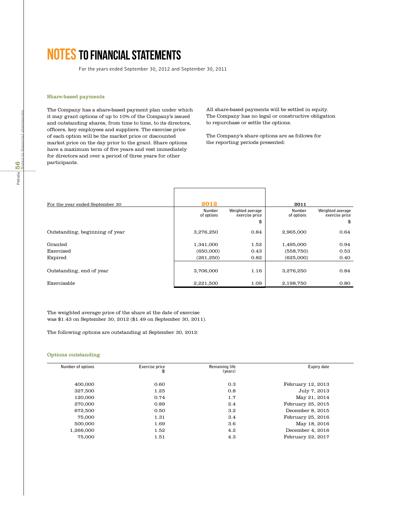For the years ended September 30, 2012 and September 30, 2011

### Share-based payments

The Company has a share-based payment plan under which it may grant options of up to 10% of the Company's issued and outstanding shares, from time to time, to its directors, officers, key employees and suppliers. The exercise price of each option will be the market price or discounted market price on the day prior to the grant. Share options have a maximum term of five years and vest immediately for directors and over a period of three years for other participants.

All share-based payments will be settled in equity. The Company has no legal or constructive obligation to repurchase or settle the options.

The Company's share options are as follows for the reporting periods presented:

| For the year ended September 30 | 2012                 |                                    | 2011                 |                                    |
|---------------------------------|----------------------|------------------------------------|----------------------|------------------------------------|
|                                 | Number<br>of options | Weighted average<br>exercise price | Number<br>of options | Weighted average<br>exercise price |
|                                 |                      | \$                                 |                      | \$                                 |
| Outstanding, beginning of year  | 3,276,250            | 0.84                               | 2,965,000            | 0.64                               |
| Granted                         | 1,341,000            | 1.52                               | 1,495,000            | 0.94                               |
| Exercised                       | (650,000)            | 0.43                               | (558, 750)           | 0.53                               |
| Expired                         | (261, 250)           | 0.82                               | (625,000)            | 0.40                               |
| Outstanding, end of year        | 3,706,000            | 1.16                               | 3,276,250            | 0.84                               |
| Exercisable                     | 2,221,500            | 1.09                               | 2,198,750            | 0.80                               |

The weighted average price of the share at the date of exercise was \$1.43 on September 30, 2012 (\$1.49 on September 30, 2011).

The following options are outstanding at September 30, 2012:

### Options outstanding

| Expiry date       | Remaining life<br>(years) | Exercise price<br>\$ | Number of options |
|-------------------|---------------------------|----------------------|-------------------|
| February 12, 2013 | 0.3                       | 0.60                 | 400,000           |
| July 7, 2013      | 0.8                       | 1.25                 | 327,500           |
| May 21, 2014      | 1.7                       | 0.74                 | 120,000           |
| February 25, 2015 | 2.4                       | 0.89                 | 270,000           |
| December 8, 2015  | 3.2                       | 0.50                 | 672,500           |
| February 25, 2016 | 3.4                       | 1.31                 | 75,000            |
| May 18, 2016      | 3.6                       | 1.69                 | 500,000           |
| December 4, 2016  | 4.2                       | 1.52                 | 1,266,000         |
| February 22, 2017 | 4.3                       | 1.51                 | 75,000            |
|                   |                           |                      |                   |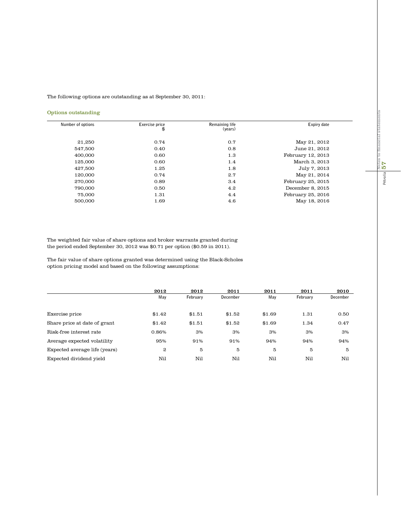The following options are outstanding as at September 30, 2011:

### Options outstanding

| Expiry date       | Remaining life<br>(years) | Exercise price<br>\$ | Number of options |
|-------------------|---------------------------|----------------------|-------------------|
| May 21, 2012      | 0.7                       | 0.74                 | 21,250            |
| June 21, 2012     | 0.8                       | 0.40                 | 547,500           |
| February 12, 2013 | 1.3                       | 0.60                 | 400,000           |
| March 3, 2013     | 1.4                       | 0.60                 | 125,000           |
| July 7, 2013      | 1.8                       | 1.25                 | 427.500           |
| May 21, 2014      | 2.7                       | 0.74                 | 120,000           |
| February 25, 2015 | 3.4                       | 0.89                 | 270,000           |
| December 8, 2015  | 4.2                       | 0.50                 | 790,000           |
| February 25, 2016 | 4.4                       | 1.31                 | 75,000            |
| May 18, 2016      | 4.6                       | 1.69                 | 500,000           |
|                   |                           |                      |                   |

The weighted fair value of share options and broker warrants granted during the period ended September 30, 2012 was \$0.71 per option (\$0.59 in 2011).

The fair value of share options granted was determined using the Black-Scholes option pricing model and based on the following assumptions:

|                               | 2012         | 2012     | 2011     | 2011   | 2011     | 2010     |
|-------------------------------|--------------|----------|----------|--------|----------|----------|
|                               | May          | February | December | May    | February | December |
|                               |              |          |          |        |          |          |
| Exercise price                | \$1.42       | \$1.51   | \$1.52   | \$1.69 | 1.31     | 0.50     |
| Share price at date of grant  | \$1.42       | \$1.51   | \$1.52   | \$1.69 | 1.34     | 0.47     |
| Risk-free interest rate       | 0.86%        | 3%       | 3%       | 3%     | 3%       | 3%       |
| Average expected volatility   | 95%          | 91%      | 91%      | 94%    | 94%      | 94%      |
| Expected average life (years) | $\mathbf{2}$ | 5        | 5        | 5      | 5        | 5        |
| Expected dividend yield       | Nil          | Nil      | Nil      | Nil    | Nil      | Nil      |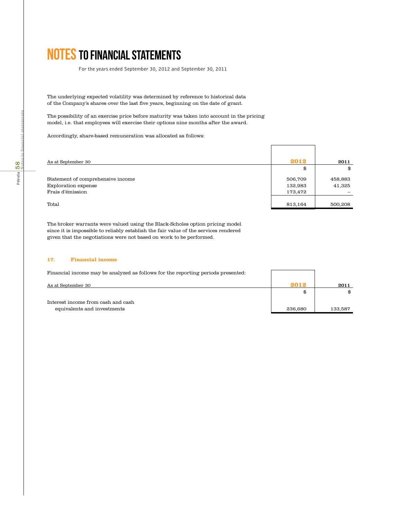For the years ended September 30, 2012 and September 30, 2011

The underlying expected volatility was determined by reference to historical data of the Company's shares over the last five years, beginning on the date of grant.

The possibility of an exercise price before maturity was taken into account in the pricing model, i.e. that employees will exercise their options nine months after the award.

Accordingly, share-based remuneration was allocated as follows:

| As at September 30                | 2012    | 2011    |
|-----------------------------------|---------|---------|
|                                   | \$      | \$      |
| Statement of comprehensive income | 506,709 | 458,883 |
| Exploration expense               | 132,983 | 41,325  |
| Frais d'émission                  | 173,472 |         |
|                                   |         |         |
| Total                             | 813,164 | 500,208 |

The broker warrants were valued using the Black-Scholes option pricing model since it is impossible to reliably establish the fair value of the services rendered given that the negotiations were not based on work to be performed.

### **17. Financial income**

| Financial income may be analyzed as follows for the reporting periods presented: |         |         |
|----------------------------------------------------------------------------------|---------|---------|
| As at September 30                                                               | 2012    | 2011    |
|                                                                                  | æ       |         |
| Interest income from cash and cash                                               |         |         |
| equivalents and investments                                                      | 236,680 | 133,587 |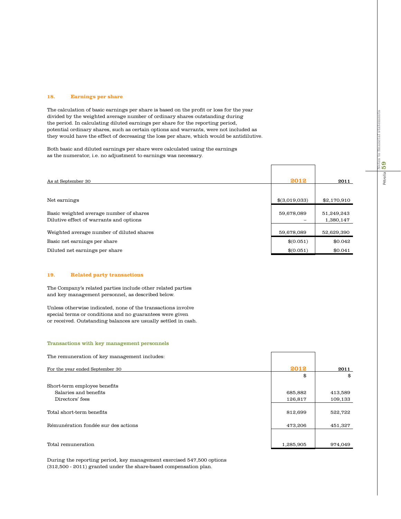### **Notes to financial statements** 59 Pétrolia 59 Pétrolia

### **18. Earnings per share**

The calculation of basic earnings per share is based on the profit or loss for the year divided by the weighted average number of ordinary shares outstanding during the period. In calculating diluted earnings per share for the reporting period, potential ordinary shares, such as certain options and warrants, were not included as they would have the effect of decreasing the loss per share, which would be antidilutive.

Both basic and diluted earnings per share were calculated using the earnings as the numerator, i.e. no adjustment to earnings was necessary.

| As at September 30                                                                 | 2012          | 2011                    |
|------------------------------------------------------------------------------------|---------------|-------------------------|
| Net earnings                                                                       | \$(3,019,033) | \$2,170,910             |
| Basic weighted average number of shares<br>Dilutive effect of warrants and options | 59,678,089    | 51,249,243<br>1,380,147 |
| Weighted average number of diluted shares                                          | 59,678,089    | 52,629,390              |
| Basic net earnings per share                                                       | \$(0.051)     | \$0.042                 |
| Diluted net earnings per share                                                     | \$(0.051)     | \$0.041                 |

### **19. Related party transactions**

The Company's related parties include other related parties and key management personnel, as described below.

Unless otherwise indicated, none of the transactions involve special terms or conditions and no guarantees were given or received. Outstanding balances are usually settled in cash.

### Transactions with key management personnels

| The remuneration of key management includes: |           |         |
|----------------------------------------------|-----------|---------|
| For the year ended September 30              | 2012      | 2011    |
|                                              | \$        | \$      |
| Short-term employee benefits                 |           |         |
| Salaries and benefits                        | 685,882   | 413,589 |
| Directors' fees                              | 126,817   | 109,133 |
| Total short-term benefits                    | 812,699   | 522,722 |
| Rémunération fondée sur des actions          | 473,206   | 451,327 |
|                                              |           |         |
| Total remuneration                           | 1,285,905 | 974,049 |

During the reporting period, key management exercised 547,500 options (312,500 - 2011) granted under the share-based compensation plan.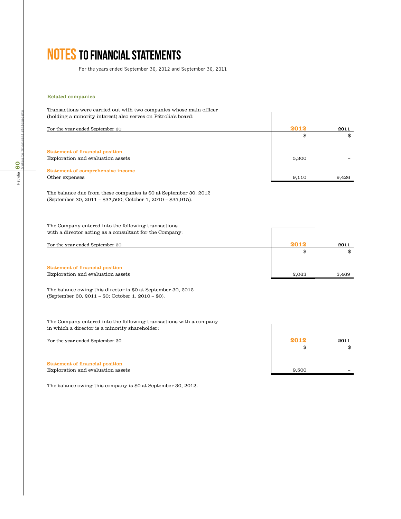For the years ended September 30, 2012 and September 30, 2011

### Related companies

Transactions were carried out with two companies whose main officer (holding a minority interest) also serves on Pétrolia's board:

For the year ended September 30 **2012** 2011

Statement of financial position Exploration and evaluation assets 5,300  $\qquad$ 

Statement of comprehensive income Other expenses 8,426

The balance due from these companies is \$0 at September 30, 2012 (September 30, 2011 – \$37,500; October 1, 2010 – \$35,915).

The Company entered into the following transactions with a director acting as a consultant for the Company:

| For the year ended September 30        | 2012   | 2011  |
|----------------------------------------|--------|-------|
|                                        | ው<br>ъ | \$    |
|                                        |        |       |
| <b>Statement of financial position</b> |        |       |
| Exploration and evaluation assets      | 2,063  | 3,469 |

\$ \$

The balance owing this director is \$0 at September 30, 2012 (September 30, 2011 – \$0; October 1, 2010 – \$0).

The Company entered into the following transactions with a company in which a director is a minority shareholder: For the year ended September 30 **2012** 2011 \$ \$ Statement of financial position Exploration and evaluation assets 9,500  $\qquad$  9,500  $\qquad$ 

The balance owing this company is \$0 at September 30, 2012.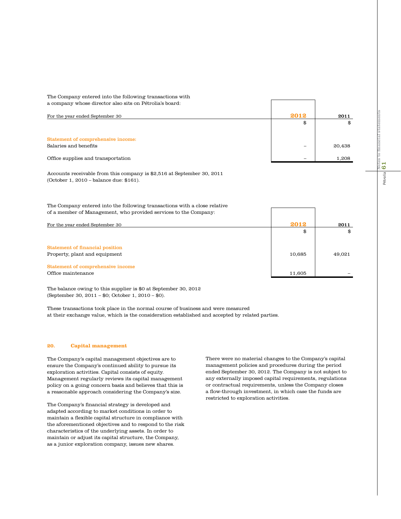The Company entered into the following transactions with a company whose director also sits on Pétrolia's board:

| For the year ended September 30 | 201 |
|---------------------------------|-----|
|                                 |     |

#### Statement of comprehensive income: Salaries and benefits and contract the contract of the contract of the contract of the contract of the contract of the contract of the contract of the contract of the contract of the contract of the contract of the contrac

Office supplies and transportation  $\overline{a}$  1,208

Accounts receivable from this company is \$2,516 at September 30, 2011 (October 1, 2010 – balance due: \$161).

The Company entered into the following transactions with a close relative of a member of Management, who provided services to the Company:



The balance owing to this supplier is \$0 at September 30, 2012 (September 30, 2011 – \$0; October 1, 2010 – \$0).

These transactions took place in the normal course of business and were measured at their exchange value, which is the consideration established and accepted by related parties.

### **20. Capital management**

The Company's capital management objectives are to ensure the Company's continued ability to pursue its exploration activities. Capital consists of equity. Management regularly reviews its capital management policy on a going concern basis and believes that this is a reasonable approach considering the Company's size.

The Company's financial strategy is developed and adapted according to market conditions in order to maintain a flexible capital structure in compliance with the aforementioned objectives and to respond to the risk characteristics of the underlying assets. In order to maintain or adjust its capital structure, the Company, as a junior exploration company, issues new shares.

There were no material changes to the Company's capital management policies and procedures during the period ended September 30, 2012. The Company is not subject to any externally imposed capital requirements, regulations or contractual requirements, unless the Company closes a flow-through investment, in which case the funds are restricted to exploration activities.

\$ \$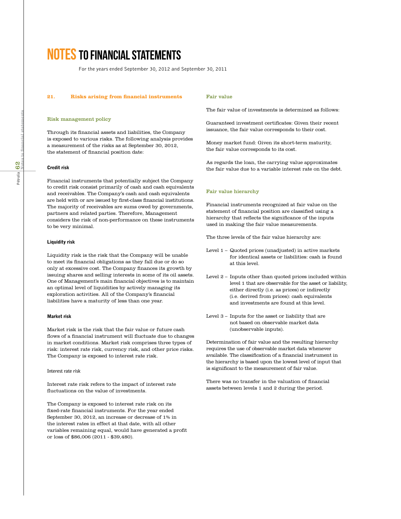For the years ended September 30, 2012 and September 30, 2011

#### **21. Risks arising from financial instruments**

### Risk management policy

Through its financial assets and liabilities, the Company is exposed to various risks. The following analysis provides a measurement of the risks as at September 30, 2012, the statement of financial position date:

#### Credit risk

Financial instruments that potentially subject the Company to credit risk consist primarily of cash and cash equivalents and receivables. The Company's cash and cash equivalents are held with or are issued by first-class financial institutions. The majority of receivables are sums owed by governments, partners and related parties. Therefore, Management considers the risk of non-performance on these instruments to be very minimal.

### Liquidity risk

Liquidity risk is the risk that the Company will be unable to meet its financial obligations as they fall due or do so only at excessive cost. The Company finances its growth by issuing shares and selling interests in some of its oil assets. One of Management's main financial objectives is to maintain an optimal level of liquidities by actively managing its exploration activities. All of the Company's financial liabilities have a maturity of less than one year.

### Market risk

Market risk is the risk that the fair value or future cash flows of a financial instrument will fluctuate due to changes in market conditions. Market risk comprises three types of risk: interest rate risk, currency risk, and other price risks. The Company is exposed to interest rate risk.

#### **Interest rate risk**

Interest rate risk refers to the impact of interest rate fluctuations on the value of investments.

The Company is exposed to interest rate risk on its fixed-rate financial instruments. For the year ended September 30, 2012, an increase or decrease of 1% in the interest rates in effect at that date, with all other variables remaining equal, would have generated a profit or loss of \$86,006 (2011 - \$39,480).

#### Fair value

The fair value of investments is determined as follows:

Guaranteed investment certificates: Given their recent issuance, the fair value corresponds to their cost.

Money market fund: Given its short-term maturity, the fair value corresponds to its cost.

As regards the loan, the carrying value approximates the fair value due to a variable interest rate on the debt.

#### Fair value hierarchy

Financial instruments recognized at fair value on the statement of financial position are classified using a hierarchy that reflects the significance of the inputs used in making the fair value measurements.

The three levels of the fair value hierarchy are:

- Level 1 Quoted prices (unadjusted) in active markets for identical assets or liabilities: cash is found at this level.
- Level 2 Inputs other than quoted prices included within level 1 that are observable for the asset or liability, either directly (i.e. as prices) or indirectly (i.e. derived from prices): cash equivalents and investments are found at this level.
- Level 3 Inputs for the asset or liability that are not based on observable market data (unobservable inputs).

Determination of fair value and the resulting hierarchy requires the use of observable market data whenever available. The classification of a financial instrument in the hierarchy is based upon the lowest level of input that is significant to the measurement of fair value.

There was no transfer in the valuation of financial assets between levels 1 and 2 during the period.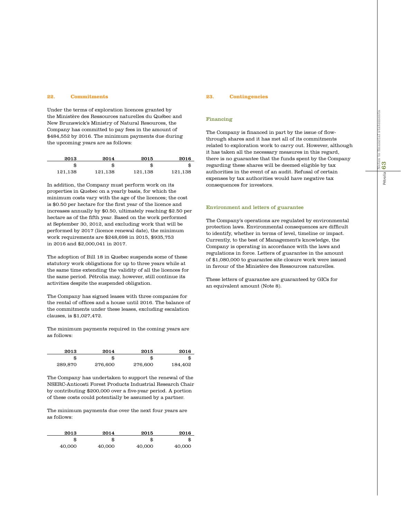### **22. Commitments**

Under the terms of exploration licences granted by the Ministère des Ressources naturelles du Québec and New Brunswick's Ministry of Natural Resources, the Company has committed to pay fees in the amount of \$484,552 by 2016. The minimum payments due during the upcoming years are as follows:

| 2013    | 2014    | 2015    | 2016    |
|---------|---------|---------|---------|
|         |         |         |         |
| 121,138 | 121,138 | 121,138 | 121,138 |

In addition, the Company must perform work on its properties in Quebec on a yearly basis, for which the minimum costs vary with the age of the licences; the cost is \$0.50 per hectare for the first year of the licence and increases annually by \$0.50, ultimately reaching \$2.50 per hectare as of the fifth year. Based on the work performed at September 30, 2012, and excluding work that will be performed by 2017 (licence renewal date), the minimum work requirements are \$248,698 in 2015, \$935,753 in 2016 and \$2,000,041 in 2017.

The adoption of Bill 18 in Quebec suspends some of these statutory work obligations for up to three years while at the same time extending the validity of all the licences for the same period. Pétrolia may, however, still continue its activities despite the suspended obligation.

The Company has signed leases with three companies for the rental of offices and a house until 2016. The balance of the commitments under these leases, excluding escalation clauses, is \$1,027,472.

The minimum payments required in the coming years are as follows:

| 2016    | 2015    | 2014    | 2013    |
|---------|---------|---------|---------|
|         |         |         |         |
| 184,402 | 276,600 | 276,600 | 289,870 |

The Company has undertaken to support the renewal of the NSERC-Anticosti Forest Products Industrial Research Chair by contributing \$200,000 over a five-year period. A portion of these costs could potentially be assumed by a partner.

The minimum payments due over the next four years are as follows:

| 2013   | 2014   | 2015   | 2016   |
|--------|--------|--------|--------|
| \$     | \$     | \$     | \$     |
| 40,000 | 40,000 | 40.000 | 40,000 |

### **23. Contingencies**

### Financing

The Company is financed in part by the issue of flowthrough shares and it has met all of its commitments related to exploration work to carry out. However, although it has taken all the necessary measures in this regard, there is no guarantee that the funds spent by the Company regarding these shares will be deemed eligible by tax authorities in the event of an audit. Refusal of certain expenses by tax authorities would have negative tax consequences for investors.

#### Environment and letters of guarantee

The Company's operations are regulated by environmental protection laws. Environmental consequences are difficult to identify, whether in terms of level, timeline or impact. Currently, to the best of Management's knowledge, the Company is operating in accordance with the laws and regulations in force. Letters of guarantee in the amount of \$1,080,000 to guarantee site closure work were issued in favour of the Ministère des Ressources naturelles.

These letters of guarantee are guaranteed by GICs for an equivalent amount (Note 8).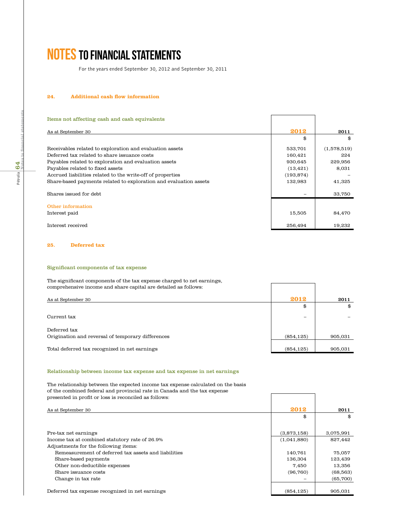For the years ended September 30, 2012 and September 30, 2011

### **24. Additional cash flow information**

| Items not affecting cash and cash equivalents                     |            |             |
|-------------------------------------------------------------------|------------|-------------|
| As at September 30                                                | 2012       | 2011        |
|                                                                   | \$         | \$          |
| Receivables related to exploration and evaluation assets          | 533,701    | (1,578,519) |
| Deferred tax related to share issuance costs                      | 160,421    | 224         |
| Payables related to exploration and evaluation assets             | 930,645    | 229,956     |
| Payables related to fixed assets                                  | (13, 421)  | 8,031       |
| Accrued liabilities related to the write-off of properties        | (193, 874) |             |
| Share-based payments related to exploration and evaluation assets | 132,983    | 41,325      |
| Shares issued for debt                                            |            | 33,750      |
| Other information                                                 |            |             |
| Interest paid                                                     | 15,505     | 84,470      |
| Interest received                                                 | 256,494    | 19,232      |

### **25. Deferred tax**

### Significant components of tax expense

The significant components of the tax expense charged to net earnings, comprehensive income and share capital are detailed as follows:

| As at September 30                                | 2012       | 2011    |
|---------------------------------------------------|------------|---------|
|                                                   | \$         | \$      |
| Current tax                                       |            |         |
| Deferred tax                                      |            |         |
| Origination and reversal of temporary differences | (854, 125) | 905,031 |
| Total deferred tax recognized in net earnings     | (854, 125) | 905.031 |

### Relationship between income tax expense and tax expense in net earnings

The relationship between the expected income tax expense calculated on the basis of the combined federal and provincial rate in Canada and the tax expense presented in profit or loss is reconciled as follows:

| presented in pront of loss is reconciled as follows. |             |           |
|------------------------------------------------------|-------------|-----------|
| As at September 30                                   | 2012        | 2011      |
|                                                      | \$          | \$        |
|                                                      |             |           |
| Pre-tax net earnings                                 | (3,873,158) | 3,075,991 |
| Income tax at combined statutory rate of 26.9%       | (1,041,880) | 827,442   |
| Adjustments for the following items:                 |             |           |
| Remeasurement of deferred tax assets and liabilities | 140.761     | 75,057    |
| Share-based payments                                 | 136,304     | 123,439   |
| Other non-deductible expenses                        | 7,450       | 13,356    |
| Share issuance costs                                 | (96, 760)   | (68, 563) |
| Change in tax rate                                   |             | (65, 700) |
|                                                      |             |           |
| Deferred tax expense recognized in net earnings      | (854, 125)  | 905.031   |

 $\Box$ 

٦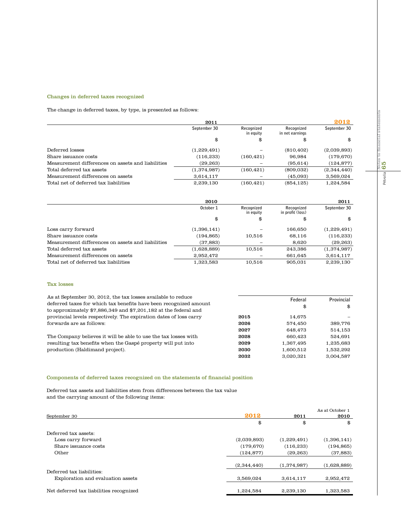### Changes in deferred taxes recognized

The change in deferred taxes, by type, is presented as follows:

|                                                   | 2011         |                         |                               | 2012         |
|---------------------------------------------------|--------------|-------------------------|-------------------------------|--------------|
|                                                   | September 30 | Recognized<br>in equity | Recognized<br>in net earnings | September 30 |
|                                                   | \$           | \$                      | \$                            | \$           |
| Deferred losses                                   | (1,229,491)  |                         | (810, 402)                    | (2,039,893)  |
| Share issuance costs                              | (116, 233)   | (160, 421)              | 96,984                        | (179, 670)   |
| Measurement differences on assets and liabilities | (29, 263)    |                         | (95, 614)                     | (124, 877)   |
| Total deferred tax assets                         | (1,374,987)  | (160, 421)              | (809,032)                     | (2,344,440)  |
| Measurement differences on assets                 | 3,614,117    |                         | (45,093)                      | 3,569,024    |
| Total net of deferred tax liabilities             | 2,239,130    | (160, 421)              | (854, 125)                    | 1,224,584    |

|                                                   | 2010        |                         |                                | 2011         |
|---------------------------------------------------|-------------|-------------------------|--------------------------------|--------------|
|                                                   | October 1   | Recognized<br>in equity | Recognized<br>in profit (loss) | September 30 |
|                                                   | \$          | \$                      | \$                             | \$           |
| Loss carry forward                                | (1,396,141) |                         | 166,650                        | (1,229,491)  |
| Share issuance costs                              | (194, 865)  | 10,516                  | 68,116                         | (116, 233)   |
| Measurement differences on assets and liabilities | (37, 883)   |                         | 8,620                          | (29, 263)    |
| Total deferred tax assets                         | (1,628,889) | 10,516                  | 243,386                        | (1,374,987)  |
| Measurement differences on assets                 | 2,952,472   |                         | 661.645                        | 3,614,117    |
| Total net of deferred tax liabilities             | 1,323,583   | 10.516                  | 905.031                        | 2.239.130    |

### Tax losses

| As at September 30, 2012, the tax losses available to reduce       |      | Federal   | Provincial |
|--------------------------------------------------------------------|------|-----------|------------|
| deferred taxes for which tax benefits have been recognized amount  |      | \$        | \$         |
| to approximately \$7,886,349 and \$7,201,182 at the federal and    |      |           |            |
| provincial levels respectively. The expiration dates of loss carry | 2015 | 14.675    |            |
| forwards are as follows:                                           | 2026 | 574.450   | 389,776    |
|                                                                    | 2027 | 648.473   | 514,153    |
| The Company believes it will be able to use the tax losses with    | 2028 | 660.423   | 524.691    |
| resulting tax benefits when the Gaspé property will put into       | 2029 | 1,367,495 | 1,235,683  |
| production (Haldimand project).                                    | 2030 | 1.600.512 | 1,532,292  |
|                                                                    | 2032 | 3.020.321 | 3.004.587  |

### Components of deferred taxes recognized on the statements of financial position

Deferred tax assets and liabilities stem from differences between the tax value and the carrying amount of the following items:

|                                         |             |             | As at October 1 |
|-----------------------------------------|-------------|-------------|-----------------|
| September 30                            | 2012        | 2011        | 2010            |
|                                         | \$          | \$          | \$              |
| Deferred tax assets:                    |             |             |                 |
| Loss carry forward                      | (2,039,893) | (1,229,491) | (1,396,141)     |
| Share issuance costs                    | (179, 670)  | (116, 233)  | (194, 865)      |
| Other                                   | (124, 877)  | (29, 263)   | (37, 883)       |
|                                         | (2,344,440) | (1,374,987) | (1,628,889)     |
| Deferred tax liabilities:               |             |             |                 |
| Exploration and evaluation assets       | 3,569,024   | 3,614,117   | 2,952,472       |
| Net deferred tax liabilities recognized | 1,224,584   | 2,239,130   | 1,323,583       |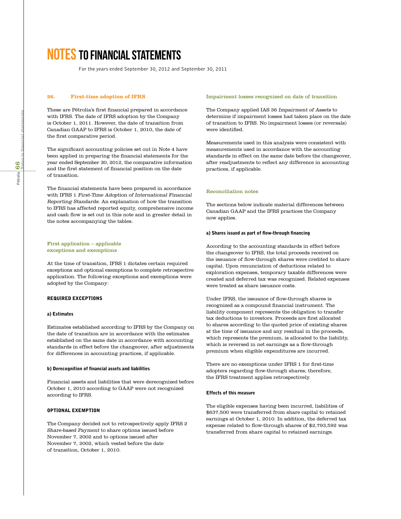For the years ended September 30, 2012 and September 30, 2011

### **26. First-time adoption of IFRS**

These are Pétrolia's first financial prepared in accordance with IFRS. The date of IFRS adoption by the Company is October 1, 2011. However, the date of transition from Canadian GAAP to IFRS is October 1, 2010, the date of the first comparative period.

The significant accounting policies set out in Note 4 have been applied in preparing the financial statements for the year ended September 30, 2012, the comparative information and the first statement of financial position on the date of transition.

The financial statements have been prepared in accordance with IFRS 1 First-Time Adoption of International Financial Reporting Standards. An explanation of how the transition to IFRS has affected reported equity, comprehensive income and cash flow is set out in this note and in greater detail in the notes accompanying the tables.

### First application – applicable exceptions and exemptions

At the time of transition, IFRS 1 dictates certain required exceptions and optional exemptions to complete retrospective application. The following exceptions and exemptions were adopted by the Company:

### Required exceptions

#### a) Estimates

Estimates established according to IFRS by the Company on the date of transition are in accordance with the estimates established on the same date in accordance with accounting standards in effect before the changeover, after adjustments for differences in accounting practices, if applicable.

### b) Derecognition of financial assets and liabilities

Financial assets and liabilities that were derecognized before October 1, 2010 according to GAAP were not recognized according to IFRS.

### Optional exemption

The Company decided not to retrospectively apply IFRS 2 Share-based Payment to share options issued before November 7, 2002 and to options issued after November 7, 2002, which vested before the date of transition, October 1, 2010.

### Impairment losses recognized on date of transition

The Company applied IAS 36 Impairment of Assets to determine if impairment losses had taken place on the date of transition to IFRS. No impairment losses (or reversals) were identified.

Measurements used in this analysis were consistent with measurements used in accordance with the accounting standards in effect on the same date before the changeover, after readjustments to reflect any difference in accounting practices, if applicable.

#### Reconciliation notes

The sections below indicate material differences between Canadian GAAP and the IFRS practices the Company now applies.

### a) Shares issued as part of flow-through financing

According to the accounting standards in effect before the changeover to IFRS, the total proceeds received on the issuance of flow-through shares were credited to share capital. Upon renunciation of deductions related to exploration expenses, temporary taxable differences were created and deferred tax was recognized. Related expenses were treated as share issuance costs.

Under IFRS, the issuance of flow-through shares is recognized as a compound financial instrument. The liability component represents the obligation to transfer tax deductions to investors. Proceeds are first allocated to shares according to the quoted price of existing shares at the time of issuance and any residual in the proceeds, which represents the premium, is allocated to the liability, which is reversed in net earnings as a flow-through premium when eligible expenditures are incurred.

There are no exemptions under IFRS 1 for first-time adopters regarding flow-through shares; therefore, the IFRS treatment applies retrospectively.

#### Effects of this measure

The eligible expenses having been incurred, liabilities of \$637,500 were transferred from share capital to retained earnings at October 1, 2010. In addition, the deferred tax expense related to flow-through shares of \$2,793,592 was transferred from share capital to retained earnings.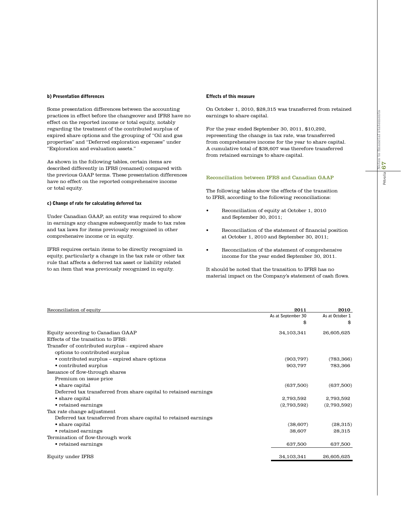### **Notes to financial statements** 67 Pétrolia 67 rolia

### b) Presentation differences

Some presentation differences between the accounting practices in effect before the changeover and IFRS have no effect on the reported income or total equity, notably regarding the treatment of the contributed surplus of expired share options and the grouping of "Oil and gas properties" and "Deferred exploration expenses" under "Exploration and evaluation assets."

As shown in the following tables, certain items are described differently in IFRS (renamed) compared with the previous GAAP terms. These presentation differences have no effect on the reported comprehensive income or total equity.

### c) Change of rate for calculating deferred tax

Under Canadian GAAP, an entity was required to show in earnings any changes subsequently made to tax rates and tax laws for items previously recognized in other comprehensive income or in equity.

IFRS requires certain items to be directly recognized in equity, particularly a change in the tax rate or other tax rule that affects a deferred tax asset or liability related to an item that was previously recognized in equity.

### Effects of this measure

On October 1, 2010, \$28,315 was transferred from retained earnings to share capital.

For the year ended September 30, 2011, \$10,292, representing the change in tax rate, was transferred from comprehensive income for the year to share capital. A cumulative total of \$38,607 was therefore transferred from retained earnings to share capital.

### Reconciliation between IFRS and Canadian GAAP

The following tables show the effects of the transition to IFRS, according to the following reconciliations:

- Reconciliation of equity at October 1, 2010 and September 30, 2011;
- Reconciliation of the statement of financial position at October 1, 2010 and September 30, 2011;
- Reconciliation of the statement of comprehensive income for the year ended September 30, 2011.

It should be noted that the transition to IFRS has no material impact on the Company's statement of cash flows.

| Reconciliation of equity                                         | 2011               | 2010            |
|------------------------------------------------------------------|--------------------|-----------------|
|                                                                  | As at September 30 | As at October 1 |
|                                                                  | \$                 | \$              |
| Equity according to Canadian GAAP                                | 34,103,341         | 26,605,625      |
| Effects of the transition to IFRS:                               |                    |                 |
| Transfer of contributed surplus – expired share                  |                    |                 |
| options to contributed surplus                                   |                    |                 |
| • contributed surplus – expired share options                    | (903, 797)         | (783, 366)      |
| • contributed surplus                                            | 903,797            | 783,366         |
| Issuance of flow-through shares                                  |                    |                 |
| Premium on issue price                                           |                    |                 |
| • share capital                                                  | (637,500)          | (637,500)       |
| Deferred tax transferred from share capital to retained earnings |                    |                 |
| • share capital                                                  | 2,793,592          | 2,793,592       |
| • retained earnings                                              | (2,793,592)        | (2,793,592)     |
| Tax rate change adjustment                                       |                    |                 |
| Deferred tax transferred from share capital to retained earnings |                    |                 |
| • share capital                                                  | (38,607)           | (28, 315)       |
| • retained earnings                                              | 38,607             | 28,315          |
| Termination of flow-through work                                 |                    |                 |
| • retained earnings                                              | 637,500            | 637,500         |
| Equity under IFRS                                                | 34,103,341         | 26,605,625      |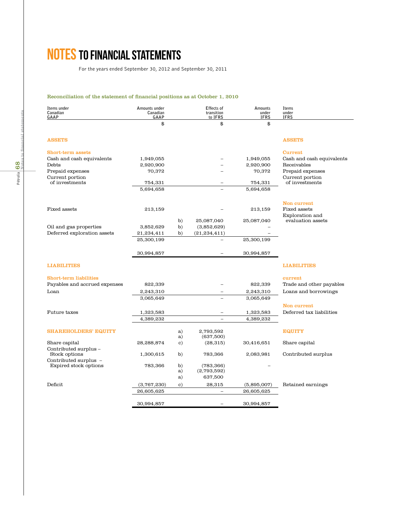For the years ended September 30, 2012 and September 30, 2011

### Reconciliation of the statement of financial positions as at October 1, 2010

| Items under<br>Canadian<br>GAAP                | Amounts under<br>Canadian<br>GAAP |              | Effects of<br>transition<br>to IFRS | <b>Amounts</b><br>under<br><b>IFRS</b> | Items<br>under<br><b>IFRS</b> |
|------------------------------------------------|-----------------------------------|--------------|-------------------------------------|----------------------------------------|-------------------------------|
|                                                | \$                                |              | \$                                  | \$                                     |                               |
|                                                |                                   |              |                                     |                                        |                               |
| <b>ASSETS</b>                                  |                                   |              |                                     |                                        | <b>ASSETS</b>                 |
| <b>Short-term assets</b>                       |                                   |              |                                     |                                        | <b>Current</b>                |
| Cash and cash equivalents                      | 1,949,055                         |              |                                     | 1,949,055                              | Cash and cash equivalents     |
| Debts                                          | 2,920,900                         |              |                                     | 2,920,900                              | Receivables                   |
| Prepaid expenses                               | 70,372                            |              |                                     | 70,372                                 | Prepaid expenses              |
| Current portion                                |                                   |              |                                     |                                        | Current portion               |
| of investments                                 | 754,331                           |              |                                     | 754,331                                | of investments                |
|                                                | 5,694,658                         |              |                                     | 5,694,658                              |                               |
|                                                |                                   |              |                                     |                                        |                               |
|                                                |                                   |              |                                     |                                        | Non current                   |
| Fixed assets                                   | 213,159                           |              |                                     | 213,159                                | <b>Fixed assets</b>           |
|                                                |                                   |              |                                     |                                        | Exploration and               |
|                                                |                                   | b)           | 25,087,040                          | 25,087,040                             | evaluation assets             |
| Oil and gas properties                         | 3,852,629                         | b)           | (3,852,629)                         |                                        |                               |
| Deferred exploration assets                    | 21,234,411                        | b)           | (21, 234, 411)                      |                                        |                               |
|                                                | 25,300,199                        |              |                                     | 25,300,199                             |                               |
|                                                |                                   |              |                                     |                                        |                               |
|                                                | 30,994,857                        |              |                                     | 30,994,857                             |                               |
|                                                |                                   |              |                                     |                                        |                               |
| <b>LIABILITIES</b>                             |                                   |              |                                     |                                        | <b>LIABILITIES</b>            |
|                                                |                                   |              |                                     |                                        |                               |
| <b>Short-term liabilities</b>                  |                                   |              |                                     |                                        | current                       |
| Payables and accrued expenses                  | 822,339                           |              |                                     | 822,339                                | Trade and other payables      |
| Loan                                           | 2,243,310                         |              |                                     | 2,243,310                              | Loans and borrowings          |
|                                                | 3,065,649                         |              |                                     | 3,065,649                              |                               |
|                                                |                                   |              |                                     |                                        | Non current                   |
| Future taxes                                   | 1,323,583                         |              |                                     | 1,323,583                              | Deferred tax liabilities      |
|                                                | 4,389,232                         |              |                                     | 4,389,232                              |                               |
|                                                |                                   |              |                                     |                                        |                               |
| <b>SHAREHOLDERS' EQUITY</b>                    |                                   | a)           | 2,793,592                           |                                        | <b>EQUITY</b>                 |
|                                                |                                   | a)           | (637,500)                           |                                        |                               |
| Share capital                                  | 28,288,874                        | $\bf c)$     | (28, 315)                           | 30,416,651                             | Share capital                 |
| Contributed surplus -                          |                                   |              |                                     |                                        |                               |
| Stock options                                  | 1,300,615                         | b)           | 783,366                             | 2,083,981                              | Contributed surplus           |
| Contributed surplus -<br>Expired stock options | 783,366                           | b)           | (783, 366)                          |                                        |                               |
|                                                |                                   | a)           | (2,793,592)                         |                                        |                               |
|                                                |                                   | a)           | 637,500                             |                                        |                               |
| Deficit                                        | (3,767,230)                       | $\mathbf{C}$ | 28,315                              | (5,895,007)                            | Retained earnings             |
|                                                | 26,605,625                        |              |                                     | 26,605,625                             |                               |
|                                                |                                   |              |                                     |                                        |                               |
|                                                | 30,994,857                        |              |                                     | 30,994,857                             |                               |
|                                                |                                   |              |                                     |                                        |                               |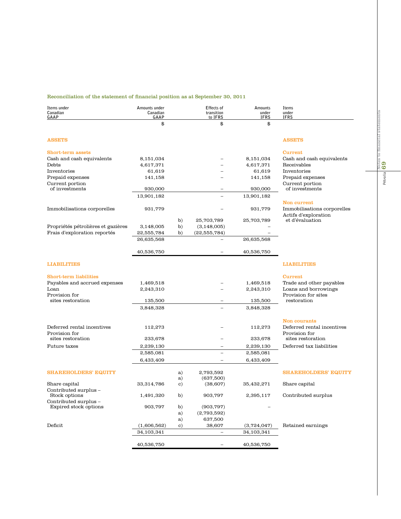### Reconciliation of the statement of financial position as at September 30, 2011

| Items under<br>Canadian<br>GAAP             | Amounts under<br>Canadian<br>GAAP |    | Effects of<br>transition<br>to IFRS | <b>Amounts</b><br>under<br><b>IFRS</b> | Items<br>under<br><b>IFRS</b>                               |
|---------------------------------------------|-----------------------------------|----|-------------------------------------|----------------------------------------|-------------------------------------------------------------|
|                                             | \$                                |    | \$                                  | \$                                     |                                                             |
| <b>ASSETS</b>                               |                                   |    |                                     |                                        | <b>ASSETS</b>                                               |
| <b>Short-term assets</b>                    |                                   |    |                                     |                                        | Current                                                     |
| Cash and cash equivalents                   | 8,151,034                         |    |                                     | 8,151,034                              | Cash and cash equivalents                                   |
| Debts                                       | 4,617,371                         |    |                                     | 4,617,371                              | Receivables                                                 |
| Inventories                                 | 61,619                            |    |                                     | 61,619                                 | Inventories                                                 |
| Prepaid expenses                            | 141,158                           |    |                                     | 141,158                                | Prepaid expenses                                            |
| Current portion                             |                                   |    |                                     |                                        | Current portion                                             |
| of investments                              | 930,000                           |    |                                     | 930,000                                | of investments                                              |
|                                             | 13,901,182                        |    | —                                   | 13,901,182                             |                                                             |
|                                             |                                   |    |                                     |                                        | Non current                                                 |
|                                             |                                   |    |                                     |                                        |                                                             |
| Immobilisations corporelles                 | 931,779                           |    |                                     | 931,779                                | Immobilisations corporelles                                 |
|                                             |                                   |    |                                     |                                        | Actifs d'exploration                                        |
|                                             |                                   | b) | 25,703,789                          | 25,703,789                             | et d'évaluation                                             |
| Propriétés pétrolières et gazières          | 3,148,005                         | b) | (3, 148, 005)                       |                                        |                                                             |
| Frais d'exploration reportés                | 22,555,784                        | b) | (22, 555, 784)                      |                                        |                                                             |
|                                             | 26,635,568                        |    |                                     | 26,635,568                             |                                                             |
|                                             | 40,536,750                        |    |                                     | 40,536,750                             |                                                             |
| <b>LIABILITIES</b>                          |                                   |    |                                     |                                        | <b>LIABILITIES</b>                                          |
|                                             |                                   |    |                                     |                                        |                                                             |
| <b>Short-term liabilities</b>               |                                   |    |                                     |                                        | <b>Current</b>                                              |
| Payables and accrued expenses               | 1,469,518                         |    |                                     | 1,469,518                              | Trade and other payables                                    |
| Loan                                        | 2,243,310                         |    |                                     | 2,243,310                              | Loans and borrowings                                        |
| Provision for                               |                                   |    |                                     |                                        | Provision for sites                                         |
| sites restoration                           | 135,500                           |    | $\overline{\phantom{0}}$            | 135,500                                | restoration                                                 |
|                                             | 3,848,328                         |    |                                     | 3,848,328                              |                                                             |
| Deferred rental incentives<br>Provision for | 112,273                           |    |                                     | 112,273                                | Non courants<br>Deferred rental incentives<br>Provision for |
| sites restoration                           | 233,678                           |    |                                     | 233,678                                | sites restoration                                           |
| Future taxes                                | 2,239,130                         |    |                                     | 2,239,130                              | Deferred tax liabilities                                    |
|                                             | 2,585,081                         |    | $\overline{a}$                      | 2,585,081                              |                                                             |
|                                             | 6,433,409                         |    |                                     | 6,433,409                              |                                                             |
| <b>SHAREHOLDERS' EQUITY</b>                 |                                   | a) | 2,793,592                           |                                        | <b>SHAREHOLDERS' EQUITY</b>                                 |
|                                             |                                   | a) | (637,500)                           |                                        |                                                             |
| Share capital                               | 33,314,786                        | C) | (38, 607)                           | 35,432,271                             | Share capital                                               |
| Contributed surplus -                       |                                   |    |                                     |                                        |                                                             |
| Stock options                               | 1,491,320                         | b) | 903,797                             | 2,395,117                              | Contributed surplus                                         |
| Contributed surplus -                       |                                   |    |                                     |                                        |                                                             |
| Expired stock options                       | 903,797                           | b) | (903, 797)                          |                                        |                                                             |
|                                             |                                   | a) | (2,793,592)                         |                                        |                                                             |
|                                             |                                   | a) | 637,500                             |                                        |                                                             |
| Deficit                                     | (1,606,562)                       | c) | 38,607                              | (3,724,047)                            | Retained earnings                                           |
|                                             | 34,103,341                        |    | $\qquad \qquad -$                   | 34,103,341                             |                                                             |
|                                             | 40,536,750                        |    |                                     | 40,536,750                             |                                                             |
|                                             |                                   |    |                                     |                                        |                                                             |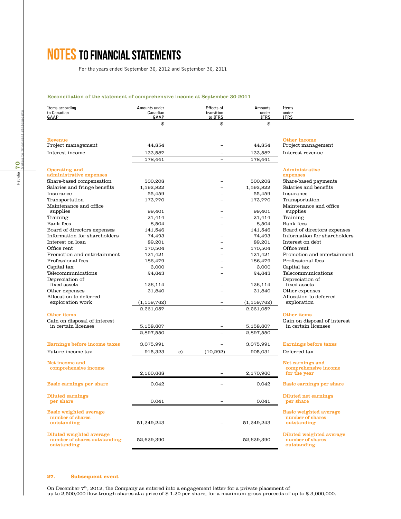For the years ended September 30, 2012 and September 30, 2011

### Reconciliation of the statement of comprehensive income at September 30 2011

| Items according<br>to Canadian<br>GAAP                                  | Amounts under<br>Canadian<br>GAAP |    | Effects of<br>transition<br>to IFRS | Amounts<br>under<br>IFRS | Items<br>under<br><b>IFRS</b>                               |
|-------------------------------------------------------------------------|-----------------------------------|----|-------------------------------------|--------------------------|-------------------------------------------------------------|
|                                                                         | \$                                |    | \$                                  | \$                       |                                                             |
| Revenue<br>Project management                                           | 44,854                            |    |                                     | 44,854                   | Other income<br>Project management                          |
| Interest income                                                         | 133,587                           |    |                                     | 133,587                  | Interest revenue                                            |
|                                                                         | 178,441                           |    | $\overline{\phantom{0}}$            | 178,441                  |                                                             |
| Operating and<br>administrative expenses                                |                                   |    |                                     |                          | Administrative<br>expenses                                  |
| Share-based compensation                                                | 500,208                           |    |                                     | 500,208                  | Share-based payments                                        |
| Salaries and fringe benefits                                            | 1,592,822                         |    |                                     | 1,592,822                | Salaries and benefits                                       |
| Insurance                                                               | 55,459                            |    |                                     | 55,459                   | Insurance                                                   |
| Transportation                                                          | 173,770                           |    |                                     | 173,770                  | Transportation                                              |
| Maintenance and office                                                  |                                   |    |                                     |                          | Maintenance and office                                      |
| supplies                                                                | 99,401                            |    |                                     | 99,401                   | supplies                                                    |
| Training                                                                | 21,414                            |    |                                     | 21,414                   | Training                                                    |
| Bank fees                                                               | 8,504                             |    |                                     | 8,504                    | Bank fees                                                   |
| Board of directors expenses                                             | 141,546                           |    |                                     | 141,546                  | Board of directors expenses                                 |
| Information for shareholders                                            | 74,493                            |    |                                     | 74,493                   | Information for shareholders                                |
| Interest on loan                                                        | 89,201                            |    |                                     | 89,201                   | Interest on debt                                            |
| Office rent                                                             | 170,504                           |    |                                     | 170,504                  | Office rent                                                 |
| Promotion and entertainment                                             | 121,421                           |    |                                     | 121,421                  | Promotion and entertainment                                 |
| Professional fees                                                       | 186,479                           |    |                                     | 186,479                  | Professional fees                                           |
| Capital tax                                                             | 3,000                             |    |                                     | 3,000                    | Capital tax                                                 |
| Telecommunications                                                      | 24,643                            |    |                                     | 24,643                   | Telecommunications                                          |
| Depreciation of                                                         |                                   |    |                                     |                          | Depreciation of                                             |
| fixed assets                                                            | 126,114                           |    |                                     | 126,114                  | fixed assets                                                |
| Other expenses                                                          | 31,840                            |    |                                     | 31,840                   | Other expenses                                              |
| Allocation to deferred                                                  |                                   |    |                                     |                          | Allocation to deferred                                      |
| exploration work                                                        | (1, 159, 762)                     |    |                                     | (1, 159, 762)            | exploration                                                 |
|                                                                         | 2,261,057                         |    | $\overline{\phantom{0}}$            | 2,261,057                |                                                             |
| Other items                                                             |                                   |    |                                     |                          | Other items                                                 |
| Gain on disposal of interest                                            |                                   |    |                                     |                          | Gain on disposal of interest<br>in certain licenses         |
| in certain licenses                                                     | 5,158,607                         |    |                                     | 5,158,607                |                                                             |
|                                                                         | 2,897,550                         |    | $\overline{\phantom{0}}$            | 2,897,550                |                                                             |
| Earnings before income taxes                                            | 3,075,991                         |    |                                     | 3,075,991                | Earnings before taxes                                       |
| Future income tax                                                       | 915,323                           | c) | (10, 292)                           | 905,031                  | Deferred tax                                                |
|                                                                         |                                   |    |                                     |                          |                                                             |
| Net income and                                                          |                                   |    |                                     |                          | Net earnings and                                            |
| comprehensive income                                                    |                                   |    |                                     |                          | comprehensive income<br>for the year                        |
|                                                                         | 2,160,668                         |    |                                     | 2,170,960                |                                                             |
| Basic earnings per share                                                | 0.042                             |    |                                     | 0.042                    | Basic earnings per share                                    |
| Diluted earnings<br>per share                                           | 0.041                             |    |                                     | 0.041                    | Diluted net earnings<br>per share                           |
| Basic weighted average<br>number of shares<br>outstanding               | 51,249,243                        |    |                                     | 51,249,243               | Basic weighted average<br>number of shares<br>outstanding   |
| Diluted weighted average<br>number of shares outstanding<br>outstanding | 52,629,390                        |    |                                     | 52,629,390               | Diluted weighted average<br>number of shares<br>outstanding |

On December  $7<sup>th</sup>$ , 2012, the Company as entered into a engagement letter for a private placement of up to 2,500,000 flow-trough shares at a price of \$ 1.20 per share, for a maximum gross proceeds of up to \$ 3,000,000.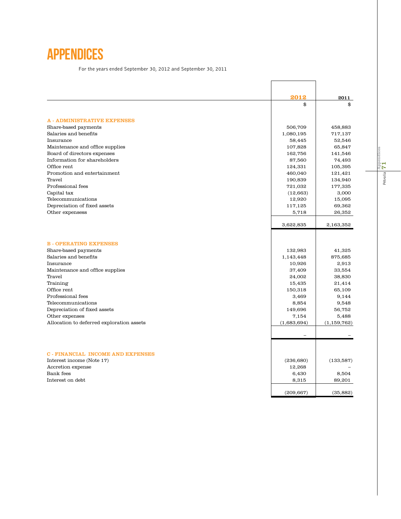### APPENDICES

For the years ended September 30, 2012 and September 30, 2011

|                                               | 2012             | 2011             |
|-----------------------------------------------|------------------|------------------|
|                                               | \$               | \$               |
| <b>A - ADMINISTRATIVE EXPENSES</b>            |                  |                  |
| Share-based payments                          | 506,709          | 458,883          |
| Salaries and benefits                         | 1,080,195        | 717,137          |
| Insurance                                     | 58,445           | 52,546           |
| Maintenance and office supplies               | 107,828          | 65,847           |
| Board of directors expenses                   | 162,756          | 141,546          |
| Information for shareholders                  | 87,560           | 74,493           |
| Office rent                                   | 124,331          | 105,395          |
| Promotion and entertainment                   | 460,040          | 121,421          |
| Travel                                        | 190,839          | 134,940          |
| Professional fees                             | 721,032          | 177,335          |
| Capital tax                                   | (12, 663)        | 3,000            |
| Telecommunications                            | 12,920           | 15,095           |
| Depreciation of fixed assets                  | 117,125          | 69,362           |
| Other expensess                               | 5,718            | 26,352           |
|                                               | 3,622,835        | 2,163,352        |
|                                               |                  |                  |
| <b>B-OPERATING EXPENSES</b>                   |                  |                  |
| Share-based payments<br>Salaries and benefits | 132,983          | 41,325           |
| Insurance                                     | 1,143,448        | 875,685          |
|                                               | 10,926           | 2,913            |
| Maintenance and office supplies<br>Travel     | 37,409<br>24,002 | 33,554<br>38,830 |
| Training                                      | 15,435           | 21,414           |
| Office rent                                   | 150,318          | 65,109           |
| Professional fees                             | 3,469            | 9,144            |
| Telecommunications                            | 8,854            | 9,548            |
| Depreciation of fixed assets                  | 149,696          | 56,752           |
| Other expenses                                | 7,154            | 5,488            |
| Allocation to deferred exploration assets     | (1,683,694)      | (1, 159, 762)    |
|                                               |                  |                  |
|                                               |                  |                  |
| <b>C-FINANCIAL INCOME AND EXPENSES</b>        |                  |                  |
| Interest income (Note 17)                     | (236, 680)       | (133, 587)       |
| Accretion expense                             | 12,268           |                  |
| Bank fees                                     | 6,430            | 8,504            |
| Interest on debt                              | 8,315            | 89,201           |
|                                               | (209, 667)       | (35,882)         |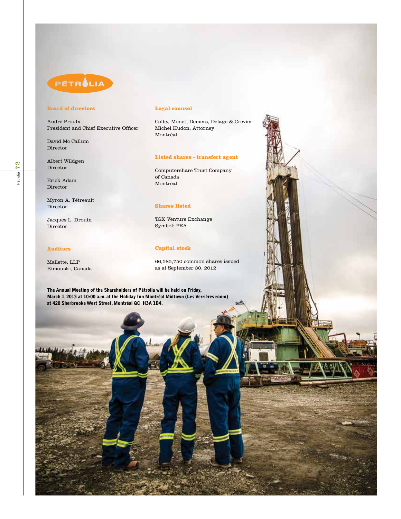### PETROLIA

### **Board of directors**

André Proulx President and Chief Executive Officer

David Mc Callum Director

Albert Wildgen Director

Erick Adam Director

Myron A. Tétreault Director

Jacques L. Drouin Director

### **Auditors**

Mallette, LLP Rimouski, Canada

### **Legal counsel**

Colby, Monet, Demers, Delage & Crevier Michel Hudon, Attorney Montréal

### **Listed shares - transfert agent**

Computershare Trust Company of Canada Montréal

### **Shares listed**

TSX Venture Exchange Symbol: PEA

### **Capital stock**

66,585,750 common shares issued as at September 30, 2012

The Annual Meeting of the Shareholders of Pétrolia will be held on Friday, March 1, 2013 at 10:00 a.m. at the Holiday Inn Montréal Midtown (Les Verrières room) at 420 Sherbrooke West Street, Montréal QC H3A 1B4.